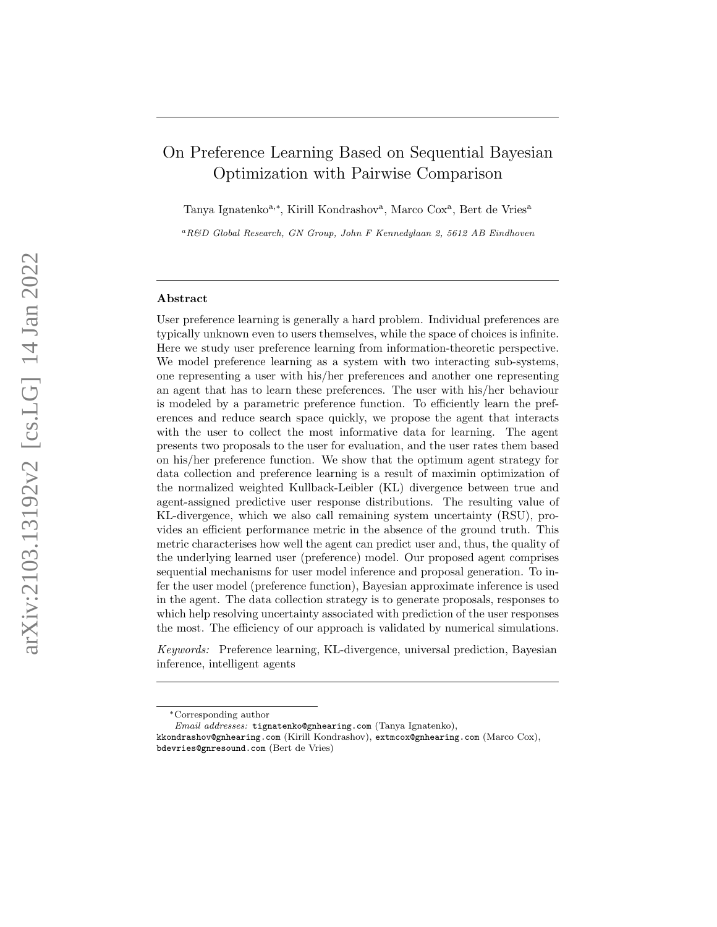# On Preference Learning Based on Sequential Bayesian Optimization with Pairwise Comparison

Tanya Ignatenko<sup>a,\*</sup>, Kirill Kondrashov<sup>a</sup>, Marco Cox<sup>a</sup>, Bert de Vries<sup>a</sup>

 ${}^aR\&D$  Global Research, GN Group, John F Kennedylaan 2, 5612 AB Eindhoven

#### Abstract

User preference learning is generally a hard problem. Individual preferences are typically unknown even to users themselves, while the space of choices is infinite. Here we study user preference learning from information-theoretic perspective. We model preference learning as a system with two interacting sub-systems, one representing a user with his/her preferences and another one representing an agent that has to learn these preferences. The user with his/her behaviour is modeled by a parametric preference function. To efficiently learn the preferences and reduce search space quickly, we propose the agent that interacts with the user to collect the most informative data for learning. The agent presents two proposals to the user for evaluation, and the user rates them based on his/her preference function. We show that the optimum agent strategy for data collection and preference learning is a result of maximin optimization of the normalized weighted Kullback-Leibler (KL) divergence between true and agent-assigned predictive user response distributions. The resulting value of KL-divergence, which we also call remaining system uncertainty (RSU), provides an efficient performance metric in the absence of the ground truth. This metric characterises how well the agent can predict user and, thus, the quality of the underlying learned user (preference) model. Our proposed agent comprises sequential mechanisms for user model inference and proposal generation. To infer the user model (preference function), Bayesian approximate inference is used in the agent. The data collection strategy is to generate proposals, responses to which help resolving uncertainty associated with prediction of the user responses the most. The efficiency of our approach is validated by numerical simulations.

Keywords: Preference learning, KL-divergence, universal prediction, Bayesian inference, intelligent agents

<sup>∗</sup>Corresponding author

Email addresses: tignatenko@gnhearing.com (Tanya Ignatenko),

kkondrashov@gnhearing.com (Kirill Kondrashov), extmcox@gnhearing.com (Marco Cox), bdevries@gnresound.com (Bert de Vries)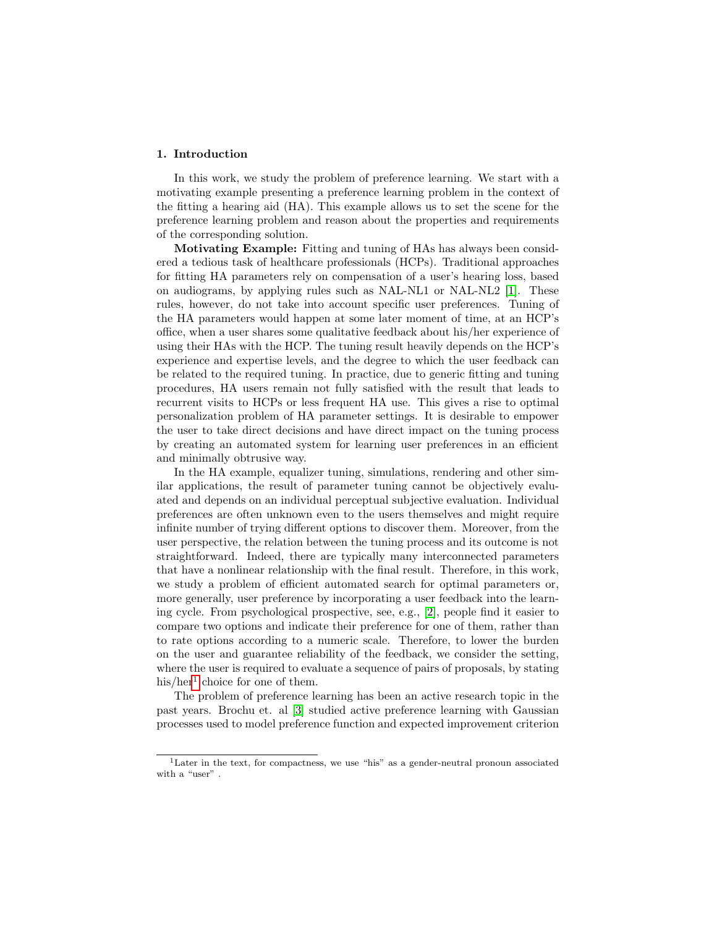#### 1. Introduction

In this work, we study the problem of preference learning. We start with a motivating example presenting a preference learning problem in the context of the fitting a hearing aid (HA). This example allows us to set the scene for the preference learning problem and reason about the properties and requirements of the corresponding solution.

Motivating Example: Fitting and tuning of HAs has always been considered a tedious task of healthcare professionals (HCPs). Traditional approaches for fitting HA parameters rely on compensation of a user's hearing loss, based on audiograms, by applying rules such as NAL-NL1 or NAL-NL2 [\[1\]](#page-26-0). These rules, however, do not take into account specific user preferences. Tuning of the HA parameters would happen at some later moment of time, at an HCP's office, when a user shares some qualitative feedback about his/her experience of using their HAs with the HCP. The tuning result heavily depends on the HCP's experience and expertise levels, and the degree to which the user feedback can be related to the required tuning. In practice, due to generic fitting and tuning procedures, HA users remain not fully satisfied with the result that leads to recurrent visits to HCPs or less frequent HA use. This gives a rise to optimal personalization problem of HA parameter settings. It is desirable to empower the user to take direct decisions and have direct impact on the tuning process by creating an automated system for learning user preferences in an efficient and minimally obtrusive way.

In the HA example, equalizer tuning, simulations, rendering and other similar applications, the result of parameter tuning cannot be objectively evaluated and depends on an individual perceptual subjective evaluation. Individual preferences are often unknown even to the users themselves and might require infinite number of trying different options to discover them. Moreover, from the user perspective, the relation between the tuning process and its outcome is not straightforward. Indeed, there are typically many interconnected parameters that have a nonlinear relationship with the final result. Therefore, in this work, we study a problem of efficient automated search for optimal parameters or, more generally, user preference by incorporating a user feedback into the learning cycle. From psychological prospective, see, e.g., [\[2\]](#page-26-1), people find it easier to compare two options and indicate their preference for one of them, rather than to rate options according to a numeric scale. Therefore, to lower the burden on the user and guarantee reliability of the feedback, we consider the setting, where the user is required to evaluate a sequence of pairs of proposals, by stating his/her<sup>[1](#page-1-0)</sup> choice for one of them.

The problem of preference learning has been an active research topic in the past years. Brochu et. al [\[3\]](#page-26-2) studied active preference learning with Gaussian processes used to model preference function and expected improvement criterion

<span id="page-1-0"></span><sup>1</sup>Later in the text, for compactness, we use "his" as a gender-neutral pronoun associated with a "user".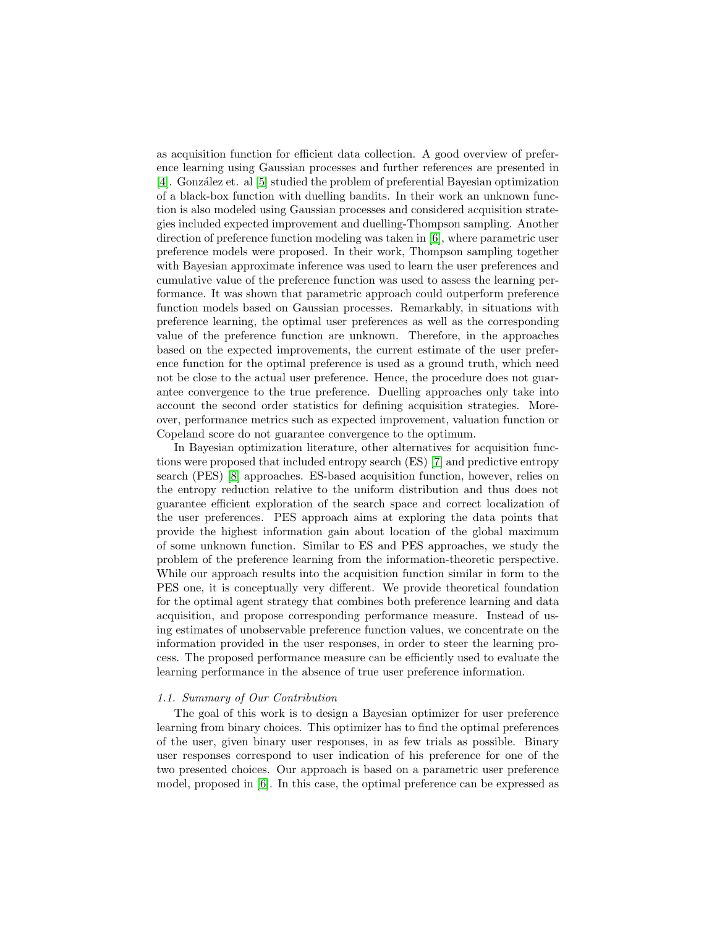as acquisition function for efficient data collection. A good overview of preference learning using Gaussian processes and further references are presented in [\[4\]](#page-26-3). Gonz´alez et. al [\[5\]](#page-27-0) studied the problem of preferential Bayesian optimization of a black-box function with duelling bandits. In their work an unknown function is also modeled using Gaussian processes and considered acquisition strategies included expected improvement and duelling-Thompson sampling. Another direction of preference function modeling was taken in [\[6\]](#page-27-1), where parametric user preference models were proposed. In their work, Thompson sampling together with Bayesian approximate inference was used to learn the user preferences and cumulative value of the preference function was used to assess the learning performance. It was shown that parametric approach could outperform preference function models based on Gaussian processes. Remarkably, in situations with preference learning, the optimal user preferences as well as the corresponding value of the preference function are unknown. Therefore, in the approaches based on the expected improvements, the current estimate of the user preference function for the optimal preference is used as a ground truth, which need not be close to the actual user preference. Hence, the procedure does not guarantee convergence to the true preference. Duelling approaches only take into account the second order statistics for defining acquisition strategies. Moreover, performance metrics such as expected improvement, valuation function or Copeland score do not guarantee convergence to the optimum.

In Bayesian optimization literature, other alternatives for acquisition functions were proposed that included entropy search (ES) [\[7\]](#page-27-2) and predictive entropy search (PES) [\[8\]](#page-27-3) approaches. ES-based acquisition function, however, relies on the entropy reduction relative to the uniform distribution and thus does not guarantee efficient exploration of the search space and correct localization of the user preferences. PES approach aims at exploring the data points that provide the highest information gain about location of the global maximum of some unknown function. Similar to ES and PES approaches, we study the problem of the preference learning from the information-theoretic perspective. While our approach results into the acquisition function similar in form to the PES one, it is conceptually very different. We provide theoretical foundation for the optimal agent strategy that combines both preference learning and data acquisition, and propose corresponding performance measure. Instead of using estimates of unobservable preference function values, we concentrate on the information provided in the user responses, in order to steer the learning process. The proposed performance measure can be efficiently used to evaluate the learning performance in the absence of true user preference information.

#### 1.1. Summary of Our Contribution

The goal of this work is to design a Bayesian optimizer for user preference learning from binary choices. This optimizer has to find the optimal preferences of the user, given binary user responses, in as few trials as possible. Binary user responses correspond to user indication of his preference for one of the two presented choices. Our approach is based on a parametric user preference model, proposed in [\[6\]](#page-27-1). In this case, the optimal preference can be expressed as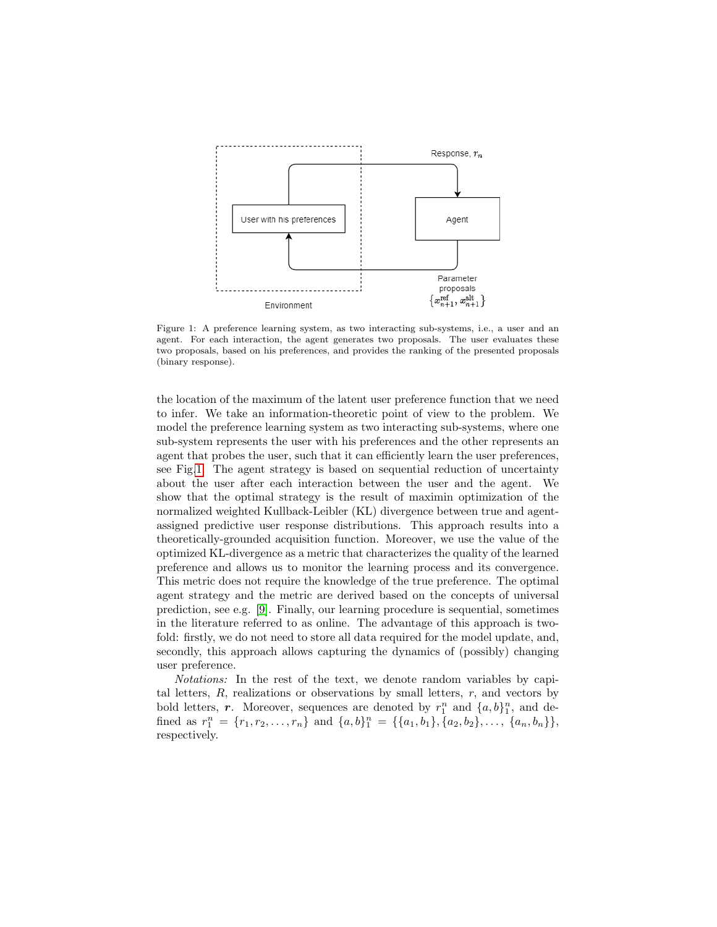<span id="page-3-0"></span>

Figure 1: A preference learning system, as two interacting sub-systems, i.e., a user and an agent. For each interaction, the agent generates two proposals. The user evaluates these two proposals, based on his preferences, and provides the ranking of the presented proposals (binary response).

the location of the maximum of the latent user preference function that we need to infer. We take an information-theoretic point of view to the problem. We model the preference learning system as two interacting sub-systems, where one sub-system represents the user with his preferences and the other represents an agent that probes the user, such that it can efficiently learn the user preferences, see Fig[.1.](#page-3-0) The agent strategy is based on sequential reduction of uncertainty about the user after each interaction between the user and the agent. We show that the optimal strategy is the result of maximin optimization of the normalized weighted Kullback-Leibler (KL) divergence between true and agentassigned predictive user response distributions. This approach results into a theoretically-grounded acquisition function. Moreover, we use the value of the optimized KL-divergence as a metric that characterizes the quality of the learned preference and allows us to monitor the learning process and its convergence. This metric does not require the knowledge of the true preference. The optimal agent strategy and the metric are derived based on the concepts of universal prediction, see e.g. [\[9\]](#page-27-4). Finally, our learning procedure is sequential, sometimes in the literature referred to as online. The advantage of this approach is twofold: firstly, we do not need to store all data required for the model update, and, secondly, this approach allows capturing the dynamics of (possibly) changing user preference.

Notations: In the rest of the text, we denote random variables by capital letters,  $R$ , realizations or observations by small letters,  $r$ , and vectors by bold letters, r. Moreover, sequences are denoted by  $r_1^n$  and  $\{a, b\}_1^n$ , and defined as  $r_1^n = \{r_1, r_2, \ldots, r_n\}$  and  $\{a, b\}_1^n = \{\{a_1, b_1\}, \{a_2, b_2\}, \ldots, \{a_n, b_n\}\},\$ respectively.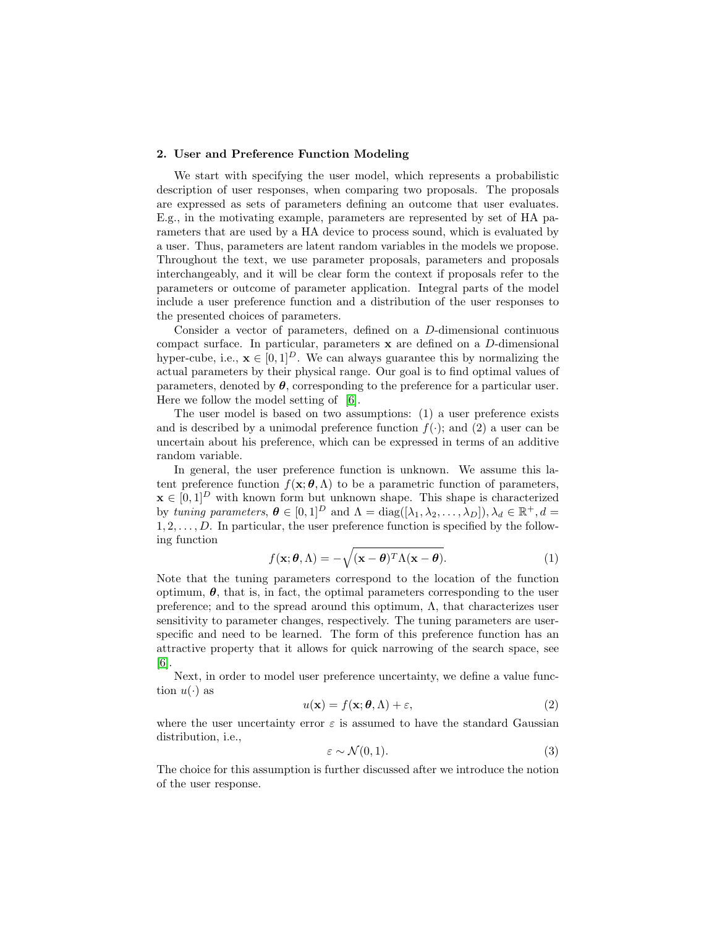#### 2. User and Preference Function Modeling

We start with specifying the user model, which represents a probabilistic description of user responses, when comparing two proposals. The proposals are expressed as sets of parameters defining an outcome that user evaluates. E.g., in the motivating example, parameters are represented by set of HA parameters that are used by a HA device to process sound, which is evaluated by a user. Thus, parameters are latent random variables in the models we propose. Throughout the text, we use parameter proposals, parameters and proposals interchangeably, and it will be clear form the context if proposals refer to the parameters or outcome of parameter application. Integral parts of the model include a user preference function and a distribution of the user responses to the presented choices of parameters.

Consider a vector of parameters, defined on a D-dimensional continuous compact surface. In particular, parameters x are defined on a D-dimensional hyper-cube, i.e.,  $\mathbf{x} \in [0, 1]^D$ . We can always guarantee this by normalizing the actual parameters by their physical range. Our goal is to find optimal values of parameters, denoted by  $\theta$ , corresponding to the preference for a particular user. Here we follow the model setting of [\[6\]](#page-27-1).

The user model is based on two assumptions: (1) a user preference exists and is described by a unimodal preference function  $f(\cdot)$ ; and (2) a user can be uncertain about his preference, which can be expressed in terms of an additive random variable.

In general, the user preference function is unknown. We assume this latent preference function  $f(\mathbf{x}; \theta, \Lambda)$  to be a parametric function of parameters,  $\mathbf{x} \in [0,1]^D$  with known form but unknown shape. This shape is characterized by tuning parameters,  $\boldsymbol{\theta} \in [0,1]^D$  and  $\Lambda = \text{diag}([\lambda_1, \lambda_2, \dots, \lambda_D]), \lambda_d \in \mathbb{R}^+, d =$  $1, 2, \ldots, D$ . In particular, the user preference function is specified by the following function

<span id="page-4-0"></span>
$$
f(\mathbf{x}; \boldsymbol{\theta}, \Lambda) = -\sqrt{(\mathbf{x} - \boldsymbol{\theta})^T \Lambda (\mathbf{x} - \boldsymbol{\theta})}.
$$
 (1)

Note that the tuning parameters correspond to the location of the function optimum,  $\theta$ , that is, in fact, the optimal parameters corresponding to the user preference; and to the spread around this optimum,  $\Lambda$ , that characterizes user sensitivity to parameter changes, respectively. The tuning parameters are userspecific and need to be learned. The form of this preference function has an attractive property that it allows for quick narrowing of the search space, see [\[6\]](#page-27-1).

Next, in order to model user preference uncertainty, we define a value function  $u(\cdot)$  as

$$
u(\mathbf{x}) = f(\mathbf{x}; \boldsymbol{\theta}, \Lambda) + \varepsilon,\tag{2}
$$

where the user uncertainty error  $\varepsilon$  is assumed to have the standard Gaussian distribution, i.e.,

$$
\varepsilon \sim \mathcal{N}(0, 1). \tag{3}
$$

The choice for this assumption is further discussed after we introduce the notion of the user response.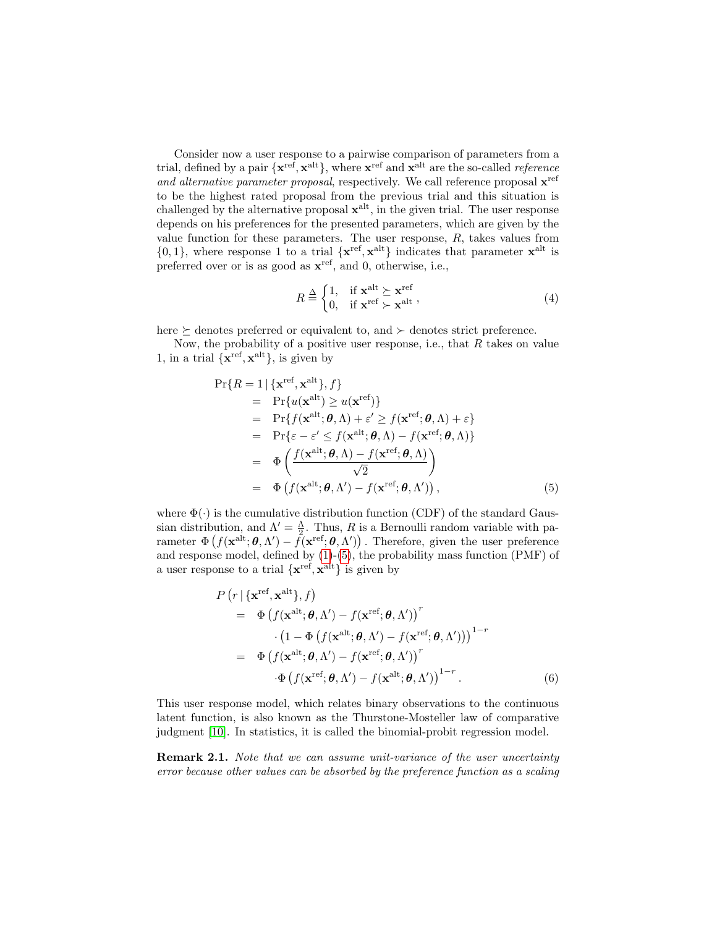Consider now a user response to a pairwise comparison of parameters from a trial, defined by a pair  $\{x^{\text{ref}}, x^{\text{alt}}\}$ , where  $x^{\text{ref}}$  and  $x^{\text{alt}}$  are the so-called *reference* and alternative parameter proposal, respectively. We call reference proposal  $\mathbf{x}^{\text{ref}}$ to be the highest rated proposal from the previous trial and this situation is challenged by the alternative proposal  $\mathbf{x}^{\text{alt}}$ , in the given trial. The user response depends on his preferences for the presented parameters, which are given by the value function for these parameters. The user response,  $R$ , takes values from  $\{0,1\}$ , where response 1 to a trial  $\{x^{\text{ref}}, x^{\text{alt}}\}$  indicates that parameter  $x^{\text{alt}}$  is preferred over or is as good as  $\mathbf{x}^{\text{ref}}$ , and 0, otherwise, i.e.,

$$
R \stackrel{\Delta}{=} \begin{cases} 1, & \text{if } \mathbf{x}^{\text{alt}} \succeq \mathbf{x}^{\text{ref}} \\ 0, & \text{if } \mathbf{x}^{\text{ref}} \succ \mathbf{x}^{\text{alt}} \end{cases}, \tag{4}
$$

here  $\succeq$  denotes preferred or equivalent to, and  $\succeq$  denotes strict preference.

Now, the probability of a positive user response, i.e., that  $R$  takes on value 1, in a trial  $\{x^{\text{ref}}, x^{\text{alt}}\}$ , is given by

<span id="page-5-0"></span>
$$
Pr{R = 1 | {\mathbf{x}^{\text{ref}}, \mathbf{x}^{\text{alt}}}, f}
$$
  
=  $Pr{u(\mathbf{x}^{\text{alt}}) \ge u(\mathbf{x}^{\text{ref}})}$   
=  $Pr{f(\mathbf{x}^{\text{alt}}; \boldsymbol{\theta}, \Lambda) + \varepsilon' \ge f(\mathbf{x}^{\text{ref}}; \boldsymbol{\theta}, \Lambda) + \varepsilon}$   
=  $Pr{\varepsilon - \varepsilon' \le f(\mathbf{x}^{\text{alt}}; \boldsymbol{\theta}, \Lambda) - f(\mathbf{x}^{\text{ref}}; \boldsymbol{\theta}, \Lambda)}$   
=  $\Phi\left(\frac{f(\mathbf{x}^{\text{alt}}; \boldsymbol{\theta}, \Lambda) - f(\mathbf{x}^{\text{ref}}; \boldsymbol{\theta}, \Lambda)}{\sqrt{2}}\right)$   
=  $\Phi\left(f(\mathbf{x}^{\text{alt}}; \boldsymbol{\theta}, \Lambda') - f(\mathbf{x}^{\text{ref}}; \boldsymbol{\theta}, \Lambda')\right),$  (5)

where  $\Phi(\cdot)$  is the cumulative distribution function (CDF) of the standard Gaussian distribution, and  $\Lambda' = \frac{\Lambda}{2}$ . Thus, R is a Bernoulli random variable with parameter  $\Phi(f(\mathbf{x}^{\text{alt}};\boldsymbol{\theta},\Lambda') - \tilde{f}(\mathbf{x}^{\text{ref}};\boldsymbol{\theta},\Lambda'))$ . Therefore, given the user preference and response model, defined by  $(1)-(5)$  $(1)-(5)$ , the probability mass function  $(PMF)$  of a user response to a trial  $\{x^{\text{ref}}, x^{\text{alt}}\}$  is given by

$$
P\left(r \mid \{\mathbf{x}^{\text{ref}}, \mathbf{x}^{\text{alt}}\}, f\right) = \Phi\left(f(\mathbf{x}^{\text{alt}}; \boldsymbol{\theta}, \Lambda') - f(\mathbf{x}^{\text{ref}}; \boldsymbol{\theta}, \Lambda')\right)^{r} \cdot \left(1 - \Phi\left(f(\mathbf{x}^{\text{alt}}; \boldsymbol{\theta}, \Lambda') - f(\mathbf{x}^{\text{ref}}; \boldsymbol{\theta}, \Lambda')\right)\right)^{1-r} = \Phi\left(f(\mathbf{x}^{\text{alt}}; \boldsymbol{\theta}, \Lambda') - f(\mathbf{x}^{\text{ref}}; \boldsymbol{\theta}, \Lambda')\right)^{r} \cdot \Phi\left(f(\mathbf{x}^{\text{ref}}; \boldsymbol{\theta}, \Lambda') - f(\mathbf{x}^{\text{alt}}; \boldsymbol{\theta}, \Lambda')\right)^{1-r}.
$$
(6)

This user response model, which relates binary observations to the continuous latent function, is also known as the Thurstone-Mosteller law of comparative judgment [\[10\]](#page-27-5). In statistics, it is called the binomial-probit regression model.

Remark 2.1. Note that we can assume unit-variance of the user uncertainty error because other values can be absorbed by the preference function as a scaling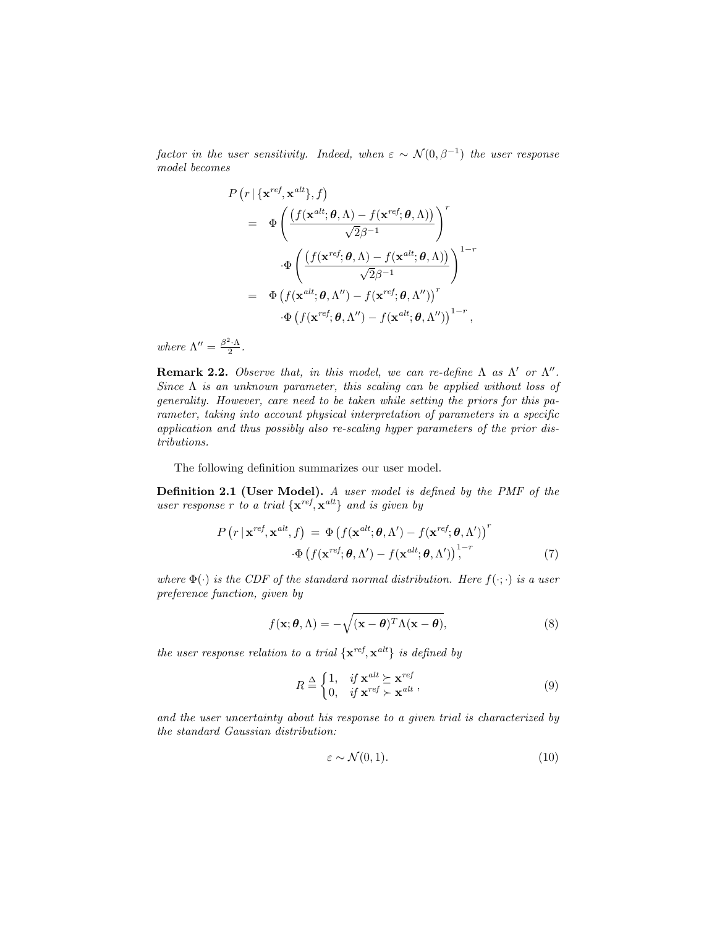factor in the user sensitivity. Indeed, when  $\varepsilon \sim \mathcal{N}(0, \beta^{-1})$  the user response model becomes

$$
P(r | {\mathbf{x}^{ref}, \mathbf{x}^{alt}}; f)
$$
  
=  $\Phi\left(\frac{f(\mathbf{x}^{alt}; \boldsymbol{\theta}, \Lambda) - f(\mathbf{x}^{ref}; \boldsymbol{\theta}, \Lambda))}{\sqrt{2}\beta^{-1}}\right)^r$   

$$
\Phi\left(\frac{f(\mathbf{x}^{ref}; \boldsymbol{\theta}, \Lambda) - f(\mathbf{x}^{alt}; \boldsymbol{\theta}, \Lambda))}{\sqrt{2}\beta^{-1}}\right)^{1-r}
$$
  
=  $\Phi\left(f(\mathbf{x}^{alt}; \boldsymbol{\theta}, \Lambda'') - f(\mathbf{x}^{ref}; \boldsymbol{\theta}, \Lambda'')\right)^r$   
 $\Phi\left(f(\mathbf{x}^{ref}; \boldsymbol{\theta}, \Lambda'') - f(\mathbf{x}^{alt}; \boldsymbol{\theta}, \Lambda'')\right)^{1-r},$ 

where  $\Lambda'' = \frac{\beta^2 \cdot \Lambda}{2}$ .

Remark 2.2. Observe that, in this model, we can re-define  $\Lambda$  as  $\Lambda'$  or  $\Lambda''$ . Since  $\Lambda$  is an unknown parameter, this scaling can be applied without loss of generality. However, care need to be taken while setting the priors for this parameter, taking into account physical interpretation of parameters in a specific application and thus possibly also re-scaling hyper parameters of the prior distributions.

The following definition summarizes our user model.

Definition 2.1 (User Model). A user model is defined by the PMF of the user response r to a trial  $\{x^{ref}, x^{alt}\}\$ and is given by

$$
P\left(r \mid \mathbf{x}^{ref}, \mathbf{x}^{alt}, f\right) = \Phi\left(f(\mathbf{x}^{alt}; \boldsymbol{\theta}, \Lambda') - f(\mathbf{x}^{ref}; \boldsymbol{\theta}, \Lambda')\right)^r
$$

$$
\cdot \Phi\left(f(\mathbf{x}^{ref}; \boldsymbol{\theta}, \Lambda') - f(\mathbf{x}^{alt}; \boldsymbol{\theta}, \Lambda')\right)^{1-r},\tag{7}
$$

where  $\Phi(\cdot)$  is the CDF of the standard normal distribution. Here  $f(\cdot;\cdot)$  is a user preference function, given by

<span id="page-6-0"></span>
$$
f(\mathbf{x}; \boldsymbol{\theta}, \Lambda) = -\sqrt{(\mathbf{x} - \boldsymbol{\theta})^T \Lambda (\mathbf{x} - \boldsymbol{\theta})},
$$
\n(8)

the user response relation to a trial  $\{x^{ref}, x^{alt}\}\$ is defined by

$$
R \stackrel{\Delta}{=} \begin{cases} 1, & \text{if } \mathbf{x}^{alt} \succeq \mathbf{x}^{ref} \\ 0, & \text{if } \mathbf{x}^{ref} \succ \mathbf{x}^{alt} \end{cases},
$$
(9)

and the user uncertainty about his response to a given trial is characterized by the standard Gaussian distribution:

$$
\varepsilon \sim \mathcal{N}(0, 1). \tag{10}
$$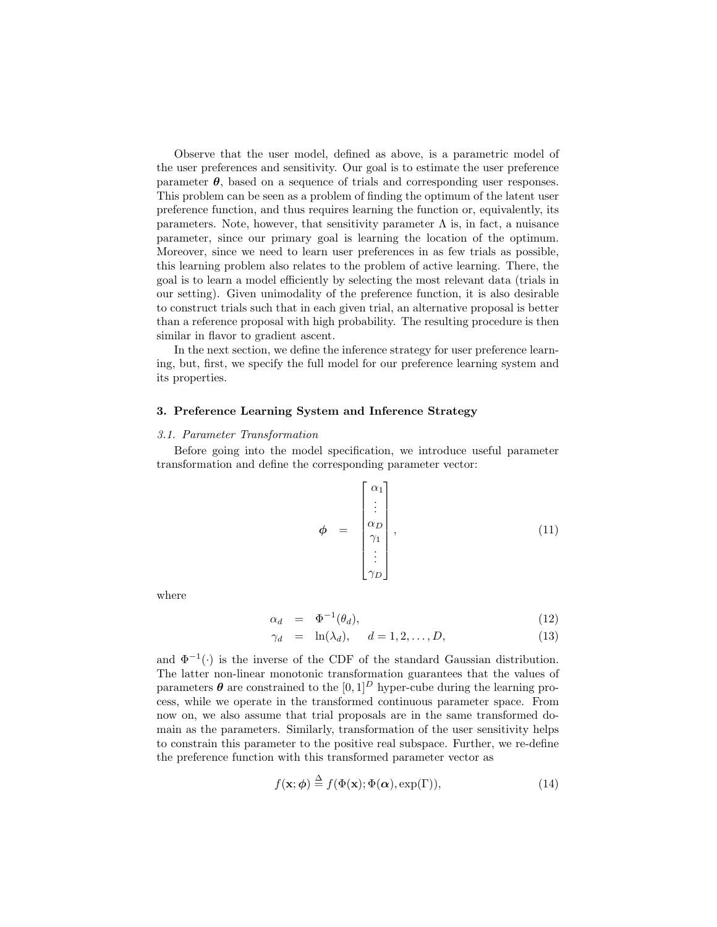Observe that the user model, defined as above, is a parametric model of the user preferences and sensitivity. Our goal is to estimate the user preference parameter  $\theta$ , based on a sequence of trials and corresponding user responses. This problem can be seen as a problem of finding the optimum of the latent user preference function, and thus requires learning the function or, equivalently, its parameters. Note, however, that sensitivity parameter  $\Lambda$  is, in fact, a nuisance parameter, since our primary goal is learning the location of the optimum. Moreover, since we need to learn user preferences in as few trials as possible, this learning problem also relates to the problem of active learning. There, the goal is to learn a model efficiently by selecting the most relevant data (trials in our setting). Given unimodality of the preference function, it is also desirable to construct trials such that in each given trial, an alternative proposal is better than a reference proposal with high probability. The resulting procedure is then similar in flavor to gradient ascent.

In the next section, we define the inference strategy for user preference learning, but, first, we specify the full model for our preference learning system and its properties.

#### 3. Preference Learning System and Inference Strategy

#### 3.1. Parameter Transformation

Before going into the model specification, we introduce useful parameter transformation and define the corresponding parameter vector:

$$
\phi = \begin{bmatrix} \alpha_1 \\ \vdots \\ \alpha_D \\ \gamma_1 \\ \vdots \\ \gamma_D \end{bmatrix}, \qquad (11)
$$

where

$$
\alpha_d = \Phi^{-1}(\theta_d), \tag{12}
$$

$$
\gamma_d = \ln(\lambda_d), \quad d = 1, 2, \dots, D,\tag{13}
$$

and  $\Phi^{-1}(\cdot)$  is the inverse of the CDF of the standard Gaussian distribution. The latter non-linear monotonic transformation guarantees that the values of parameters  $\boldsymbol{\theta}$  are constrained to the [0, 1]<sup>D</sup> hyper-cube during the learning process, while we operate in the transformed continuous parameter space. From now on, we also assume that trial proposals are in the same transformed domain as the parameters. Similarly, transformation of the user sensitivity helps to constrain this parameter to the positive real subspace. Further, we re-define the preference function with this transformed parameter vector as

<span id="page-7-0"></span>
$$
f(\mathbf{x}; \phi) \stackrel{\Delta}{=} f(\Phi(\mathbf{x}); \Phi(\alpha), \exp(\Gamma)), \tag{14}
$$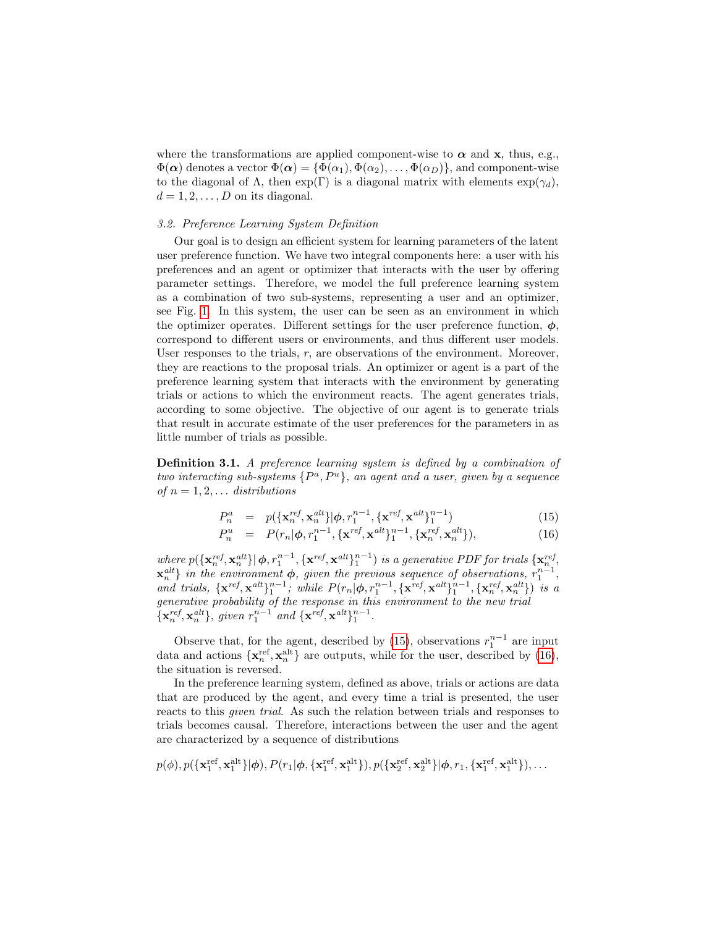where the transformations are applied component-wise to  $\alpha$  and  $\mathbf{x}$ , thus, e.g.,  $\Phi(\alpha)$  denotes a vector  $\Phi(\alpha) = {\Phi(\alpha_1), \Phi(\alpha_2), \ldots, \Phi(\alpha_D)}$ , and component-wise to the diagonal of  $\Lambda$ , then  $\exp(\Gamma)$  is a diagonal matrix with elements  $\exp(\gamma_d)$ ,  $d = 1, 2, \ldots, D$  on its diagonal.

## 3.2. Preference Learning System Definition

Our goal is to design an efficient system for learning parameters of the latent user preference function. We have two integral components here: a user with his preferences and an agent or optimizer that interacts with the user by offering parameter settings. Therefore, we model the full preference learning system as a combination of two sub-systems, representing a user and an optimizer, see Fig. [1.](#page-3-0) In this system, the user can be seen as an environment in which the optimizer operates. Different settings for the user preference function,  $\phi$ , correspond to different users or environments, and thus different user models. User responses to the trials,  $r$ , are observations of the environment. Moreover, they are reactions to the proposal trials. An optimizer or agent is a part of the preference learning system that interacts with the environment by generating trials or actions to which the environment reacts. The agent generates trials, according to some objective. The objective of our agent is to generate trials that result in accurate estimate of the user preferences for the parameters in as little number of trials as possible.

Definition 3.1. A preference learning system is defined by a combination of two interacting sub-systems  $\{P^a, P^u\}$ , an agent and a user, given by a sequence of  $n = 1, 2, \ldots$  distributions

<span id="page-8-0"></span>
$$
P_n^a = p(\{\mathbf{x}_n^{ref}, \mathbf{x}_n^{alt}\} | \phi, r_1^{n-1}, \{\mathbf{x}^{ref}, \mathbf{x}^{alt}\}_1^{n-1})
$$
(15)

$$
P_n^u = P(r_n | \phi, r_1^{n-1}, \{ \mathbf{x}^{ref}, \mathbf{x}^{alt} \}_1^{n-1}, \{ \mathbf{x}_n^{ref}, \mathbf{x}_n^{alt} \}), \tag{16}
$$

where  $p(\lbrace \mathbf{x}_n^{ref}, \mathbf{x}_n^{alt} \rbrace | \boldsymbol{\phi}, r_1^{n-1}, \lbrace \mathbf{x}^{ref}, \mathbf{x}^{alt} \rbrace_1^{n-1})$  is a generative PDF for trials  $\lbrace \mathbf{x}_n^{ref}, \rbrace$  $\mathbf{x}_n^{alt}$  in the environment  $\phi$ , given the previous sequence of observations,  $r_1^{n-1}$ , and trials,  $\{ \mathbf{x}^{ref}, \mathbf{x}^{alt} \}_{1}^{n-1}$ ; while  $P(r_n | \boldsymbol{\phi}, r_1^{n-1}, \{ \mathbf{x}^{ref}, \mathbf{x}^{alt} \}_{1}^{n-1}, \{ \mathbf{x}_n^{ref}, \mathbf{x}_n^{alt} \})$  is a generative probability of the response in this environment to the new trial  ${x<sub>n</sub><sup>ref</sup>,**x**<sub>n</sub><sup>alt</sup>}, given r<sub>1</sub><sup>n-1</sup> and {**x**<sup>ref</sup>,**x**<sup>alt</sup>}<sub>1</sub><sup>n-1</sup>.$ 

Observe that, for the agent, described by [\(15\)](#page-8-0), observations  $r_1^{n-1}$  are input data and actions  $\{x_n^{\text{ref}}, x_n^{\text{alt}}\}$  are outputs, while for the user, described by [\(16\)](#page-8-0), the situation is reversed.

In the preference learning system, defined as above, trials or actions are data that are produced by the agent, and every time a trial is presented, the user reacts to this given trial. As such the relation between trials and responses to trials becomes causal. Therefore, interactions between the user and the agent are characterized by a sequence of distributions

$$
p(\phi),p(\lbrace \mathbf{x}^{\textrm{ref}}_1, \mathbf{x}^{\textrm{alt}}_1 \rbrace|\boldsymbol{\phi}), P(r_1|\boldsymbol{\phi}, \lbrace \mathbf{x}^{\textrm{ref}}_1, \mathbf{x}^{\textrm{alt}}_1 \rbrace), p(\lbrace \mathbf{x}^{\textrm{ref}}_2, \mathbf{x}^{\textrm{alt}}_2 \rbrace|\boldsymbol{\phi}, r_1, \lbrace \mathbf{x}^{\textrm{ref}}_1, \mathbf{x}^{\textrm{alt}}_1 \rbrace), \ldots
$$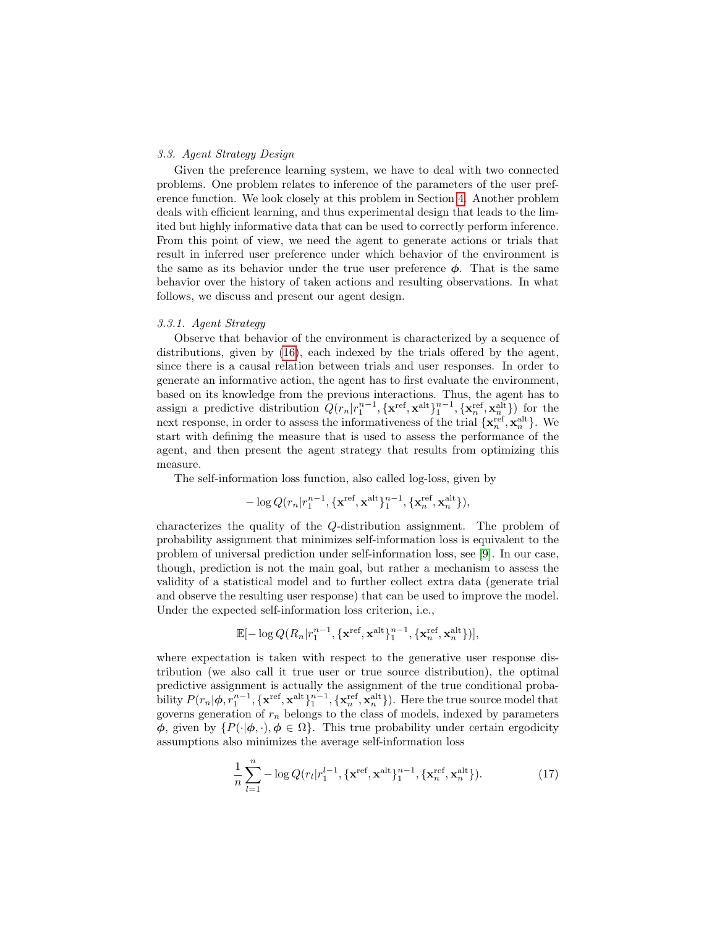#### 3.3. Agent Strategy Design

Given the preference learning system, we have to deal with two connected problems. One problem relates to inference of the parameters of the user preference function. We look closely at this problem in Section [4.](#page-15-0) Another problem deals with efficient learning, and thus experimental design that leads to the limited but highly informative data that can be used to correctly perform inference. From this point of view, we need the agent to generate actions or trials that result in inferred user preference under which behavior of the environment is the same as its behavior under the true user preference  $\phi$ . That is the same behavior over the history of taken actions and resulting observations. In what follows, we discuss and present our agent design.

#### 3.3.1. Agent Strategy

Observe that behavior of the environment is characterized by a sequence of distributions, given by [\(16\)](#page-8-0), each indexed by the trials offered by the agent, since there is a causal relation between trials and user responses. In order to generate an informative action, the agent has to first evaluate the environment, based on its knowledge from the previous interactions. Thus, the agent has to assign a predictive distribution  $Q(r_n|r_1^{n-1}, {\{\mathbf{x}^{\text{ref}}, \mathbf{x}^{\text{alt}}\}_1^{n-1}, {\{\mathbf{x}_n^{\text{ref}}, \mathbf{x}_n^{\text{alt}}\}})$  for the next response, in order to assess the informativeness of the trial  $\{ \mathbf{x}_n^{\text{ref}}, \mathbf{x}_n^{\text{alt}} \}$ . We start with defining the measure that is used to assess the performance of the agent, and then present the agent strategy that results from optimizing this measure.

The self-information loss function, also called log-loss, given by

$$
-\log Q(r_n|r_1^{n-1}, \{\mathbf{x}^{\textrm{ref}}, \mathbf{x}^{\textrm{alt}}\}_1^{n-1}, \{\mathbf{x}^{\textrm{ref}}_n, \mathbf{x}^{\textrm{alt}}_n\}),
$$

characterizes the quality of the Q-distribution assignment. The problem of probability assignment that minimizes self-information loss is equivalent to the problem of universal prediction under self-information loss, see [\[9\]](#page-27-4). In our case, though, prediction is not the main goal, but rather a mechanism to assess the validity of a statistical model and to further collect extra data (generate trial and observe the resulting user response) that can be used to improve the model. Under the expected self-information loss criterion, i.e.,

$$
\mathbb{E}[-\log Q(R_n|r_1^{n-1}, {\{\mathbf{x}^{\textrm{ref}}, \mathbf{x}^{\textrm{alt}}\}_1^{n-1}, {\{\mathbf{x}^{\textrm{ref}}_n, \mathbf{x}^{\textrm{alt}}_n\}})],
$$

where expectation is taken with respect to the generative user response distribution (we also call it true user or true source distribution), the optimal predictive assignment is actually the assignment of the true conditional probability  $P(r_n|\phi, r_1^{n-1}, {\{\mathbf{x}^{\text{ref}}, \mathbf{x}^{\text{alt}}\}_1^{n-1}, {\{\mathbf{x}^{\text{ref}}, \mathbf{x}^{\text{alt}}_n\}}).$  Here the true source model that governs generation of  $r_n$  belongs to the class of models, indexed by parameters  $\phi$ , given by  $\{P(\cdot|\phi, \cdot), \phi \in \Omega\}$ . This true probability under certain ergodicity assumptions also minimizes the average self-information loss

$$
\frac{1}{n}\sum_{l=1}^{n} -\log Q(r_l|r_1^{l-1}, \{\mathbf{x}^{\text{ref}}, \mathbf{x}^{\text{alt}}\}_1^{n-1}, \{\mathbf{x}_n^{\text{ref}}, \mathbf{x}_n^{\text{alt}}\}).
$$
\n(17)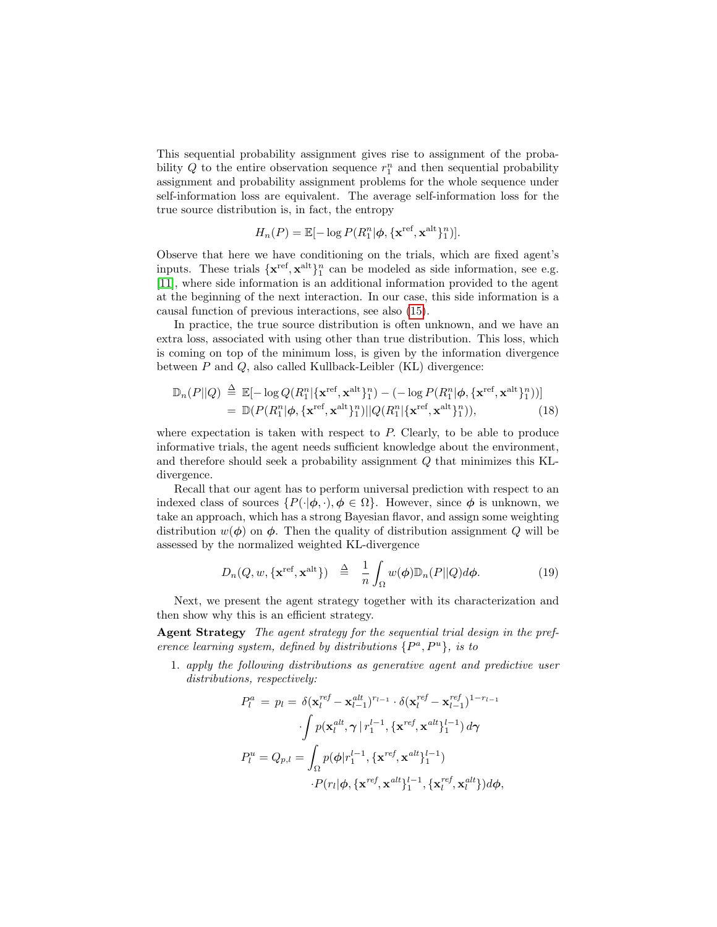This sequential probability assignment gives rise to assignment of the probability  $Q$  to the entire observation sequence  $r_1^n$  and then sequential probability assignment and probability assignment problems for the whole sequence under self-information loss are equivalent. The average self-information loss for the true source distribution is, in fact, the entropy

$$
H_n(P) = \mathbb{E}[-\log P(R_1^n | \boldsymbol{\phi}, \{\mathbf{x}^{\text{ref}}, \mathbf{x}^{\text{alt}}\}_1^n)].
$$

Observe that here we have conditioning on the trials, which are fixed agent's inputs. These trials  $\{x^{\text{ref}}, x^{\text{alt}}\}_1^n$  can be modeled as side information, see e.g. [\[11\]](#page-27-6), where side information is an additional information provided to the agent at the beginning of the next interaction. In our case, this side information is a causal function of previous interactions, see also [\(15\)](#page-8-0).

In practice, the true source distribution is often unknown, and we have an extra loss, associated with using other than true distribution. This loss, which is coming on top of the minimum loss, is given by the information divergence between  $P$  and  $Q$ , also called Kullback-Leibler (KL) divergence:

$$
\mathbb{D}_n(P||Q) \stackrel{\Delta}{=} \mathbb{E}[-\log Q(R_1^n|\{\mathbf{x}^{\text{ref}},\mathbf{x}^{\text{alt}}\}_1^n) - (-\log P(R_1^n|\boldsymbol{\phi},\{\mathbf{x}^{\text{ref}},\mathbf{x}^{\text{alt}}\}_1^n))]
$$
  
= 
$$
\mathbb{D}(P(R_1^n|\boldsymbol{\phi},\{\mathbf{x}^{\text{ref}},\mathbf{x}^{\text{alt}}\}_1^n)||Q(R_1^n|\{\mathbf{x}^{\text{ref}},\mathbf{x}^{\text{alt}}\}_1^n)),
$$
 (18)

where expectation is taken with respect to P. Clearly, to be able to produce informative trials, the agent needs sufficient knowledge about the environment, and therefore should seek a probability assignment Q that minimizes this KLdivergence.

Recall that our agent has to perform universal prediction with respect to an indexed class of sources  $\{P(\cdot|\phi, \cdot), \phi \in \Omega\}$ . However, since  $\phi$  is unknown, we take an approach, which has a strong Bayesian flavor, and assign some weighting distribution  $w(\phi)$  on  $\phi$ . Then the quality of distribution assignment Q will be assessed by the normalized weighted KL-divergence

<span id="page-10-0"></span>
$$
D_n(Q, w, \{\mathbf{x}^{\text{ref}}, \mathbf{x}^{\text{alt}}\}) \quad \stackrel{\Delta}{=} \quad \frac{1}{n} \int_{\Omega} w(\boldsymbol{\phi}) \mathbb{D}_n(P||Q) d\boldsymbol{\phi}.\tag{19}
$$

Next, we present the agent strategy together with its characterization and then show why this is an efficient strategy.

Agent Strategy The agent strategy for the sequential trial design in the preference learning system, defined by distributions  $\{P^a, P^u\}$ , is to

1. apply the following distributions as generative agent and predictive user distributions, respectively:

$$
P_l^a = p_l = \delta(\mathbf{x}_l^{ref} - \mathbf{x}_{l-1}^{alt})^{r_{l-1}} \cdot \delta(\mathbf{x}_l^{ref} - \mathbf{x}_{l-1}^{ref})^{1-r_{l-1}}
$$

$$
\cdot \int p(\mathbf{x}_l^{alt}, \gamma | r_1^{l-1}, {\{\mathbf{x}^{ref}, \mathbf{x}^{alt}\}}_1^{l-1}) d\gamma
$$

$$
P_l^u = Q_{p,l} = \int_{\Omega} p(\phi | r_1^{l-1}, {\{\mathbf{x}^{ref}, \mathbf{x}^{alt}\}}_1^{l-1})
$$

$$
\cdot P(r_l | \phi, {\{\mathbf{x}^{ref}, \mathbf{x}^{alt}\}}_1^{l-1}, {\{\mathbf{x}_l^{ref}, \mathbf{x}_l^{alt}\}}_d^l) d\phi,
$$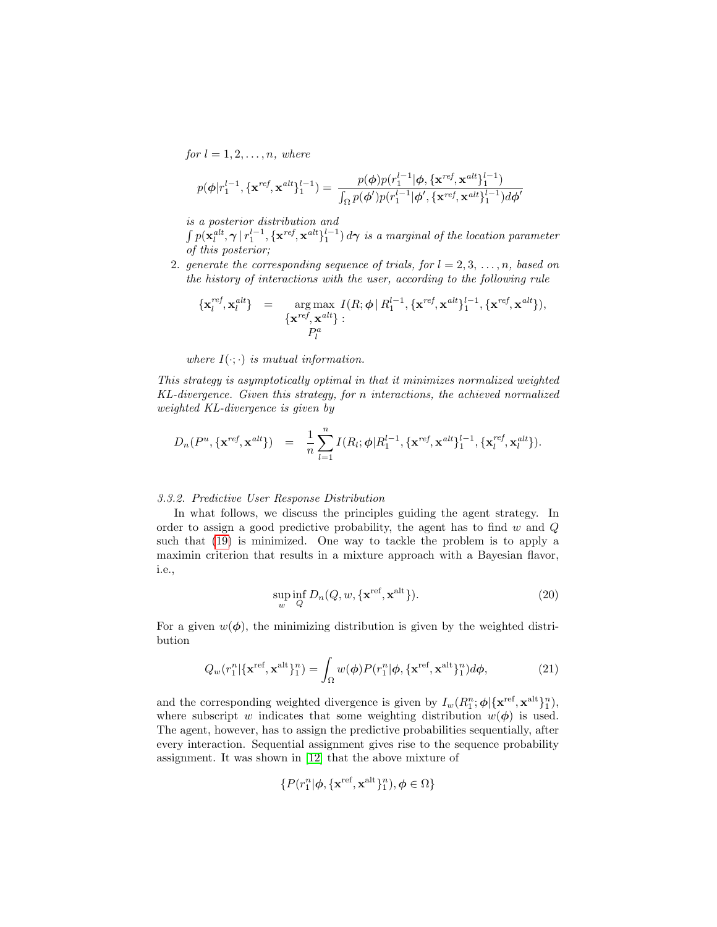for  $l = 1, 2, \ldots, n$ , where

$$
p(\boldsymbol{\phi}|\boldsymbol{r}_1^{l-1}, \{\mathbf{x}^{ref},\mathbf{x}^{alt}\}_1^{l-1}) = \frac{p(\boldsymbol{\phi})p(\boldsymbol{r}_1^{l-1}|\boldsymbol{\phi}, \{\mathbf{x}^{ref},\mathbf{x}^{alt}\}_1^{l-1})}{\int_{\Omega} p(\boldsymbol{\phi}')p(\boldsymbol{r}_1^{l-1}|\boldsymbol{\phi}', \{\mathbf{x}^{ref},\mathbf{x}^{alt}\}_1^{l-1})d\boldsymbol{\phi}'}
$$

is a posterior distribution and

 $\int p(\mathbf{x}_l^{alt},\boldsymbol{\gamma}\,|\,r_1^{l-1},\{\mathbf{x}^{ref},\mathbf{x}^{alt}\}_1^{l-1})\,d\boldsymbol{\gamma}$  is a marginal of the location parameter of this posterior;

2. generate the corresponding sequence of trials, for  $l = 2, 3, \ldots, n$ , based on the history of interactions with the user, according to the following rule

$$
\begin{array}{rcl}\n\{{\bf x}_l^{ref},{\bf x}_l^{alt}\} & = & \arg \max \{I(R;\boldsymbol{\phi} \mid R_1^{l-1}, \{{\bf x}^{ref},{\bf x}^{alt}\}_1^{l-1}, \{{\bf x}^{ref},{\bf x}^{alt}\}), \\
\{\boldsymbol{x}^{ref},{\bf x}^{alt}\} & : & P_l^a\n\end{array}
$$

where  $I(\cdot; \cdot)$  is mutual information.

This strategy is asymptotically optimal in that it minimizes normalized weighted KL-divergence. Given this strategy, for n interactions, the achieved normalized weighted KL-divergence is given by

$$
D_n(P^u, \{\mathbf{x}^{ref}, \mathbf{x}^{alt}\}) = \frac{1}{n} \sum_{l=1}^n I(R_l; \phi | R_1^{l-1}, \{\mathbf{x}^{ref}, \mathbf{x}^{alt}\}_1^{l-1}, \{\mathbf{x}_l^{ref}, \mathbf{x}_l^{alt}\}).
$$

#### 3.3.2. Predictive User Response Distribution

In what follows, we discuss the principles guiding the agent strategy. In order to assign a good predictive probability, the agent has to find  $w$  and  $Q$ such that [\(19\)](#page-10-0) is minimized. One way to tackle the problem is to apply a maximin criterion that results in a mixture approach with a Bayesian flavor, i.e.,

$$
\sup_{w} \inf_{Q} D_n(Q, w, \{\mathbf{x}^{\text{ref}}, \mathbf{x}^{\text{alt}}\}).
$$
\n(20)

For a given  $w(\phi)$ , the minimizing distribution is given by the weighted distribution

$$
Q_w(r_1^n|\{\mathbf{x}^{\text{ref}},\mathbf{x}^{\text{alt}}\}_1^n) = \int_{\Omega} w(\boldsymbol{\phi}) P(r_1^n|\boldsymbol{\phi},\{\mathbf{x}^{\text{ref}},\mathbf{x}^{\text{alt}}\}_1^n) d\boldsymbol{\phi},\tag{21}
$$

and the corresponding weighted divergence is given by  $I_w(R_1^n; \phi | {\{\mathbf{x}^{\text{ref}}, \mathbf{x}^{\text{alt}}\}_1^n} )$ , where subscript w indicates that some weighting distribution  $w(\phi)$  is used. The agent, however, has to assign the predictive probabilities sequentially, after every interaction. Sequential assignment gives rise to the sequence probability assignment. It was shown in [\[12\]](#page-27-7) that the above mixture of

$$
\{P(r_1^n|\boldsymbol{\phi}, \{\mathbf{x}^{\textrm{ref}}, \mathbf{x}^{\textrm{alt}}\}_1^n), \boldsymbol{\phi}\in \Omega\}
$$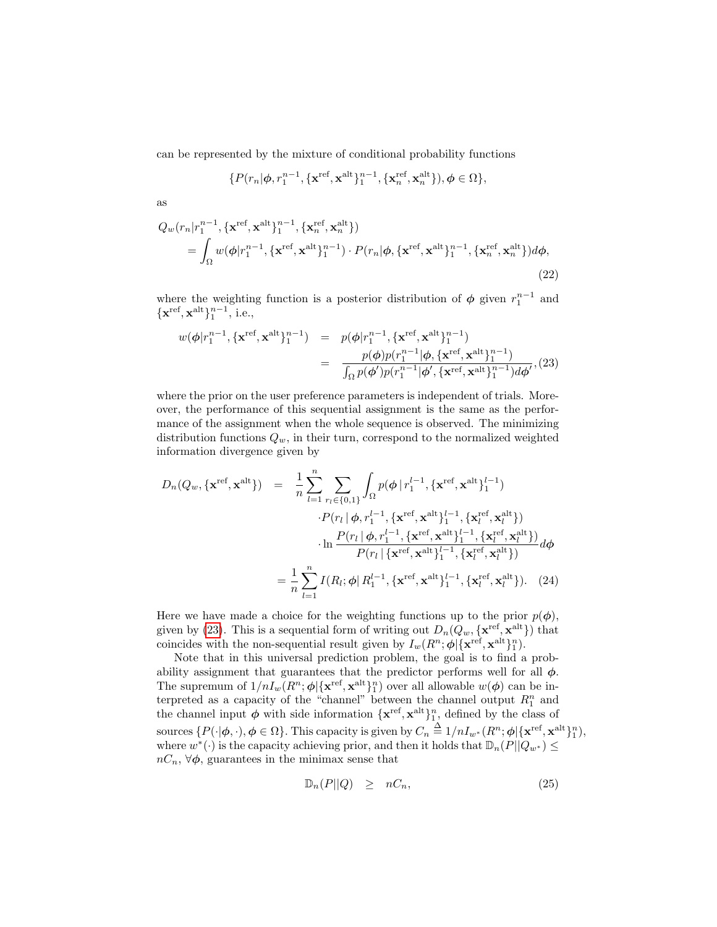can be represented by the mixture of conditional probability functions

$$
\{P(r_n|\boldsymbol{\phi}, r_1^{n-1}, \{\mathbf{x}^{\text{ref}}, \mathbf{x}^{\text{alt}}\}_1^{n-1}, \{\mathbf{x}_n^{\text{ref}}, \mathbf{x}_n^{\text{alt}}\}), \boldsymbol{\phi} \in \Omega\},
$$

as

$$
Q_w(r_n|r_1^{n-1}, \{\mathbf{x}^{\text{ref}}, \mathbf{x}^{\text{alt}}\}_1^{n-1}, \{\mathbf{x}_n^{\text{ref}}, \mathbf{x}_n^{\text{alt}}\})
$$
  
= 
$$
\int_{\Omega} w(\boldsymbol{\phi}|r_1^{n-1}, \{\mathbf{x}^{\text{ref}}, \mathbf{x}^{\text{alt}}\}_1^{n-1}) \cdot P(r_n|\boldsymbol{\phi}, \{\mathbf{x}^{\text{ref}}, \mathbf{x}^{\text{alt}}\}_1^{n-1}, \{\mathbf{x}_n^{\text{ref}}, \mathbf{x}_n^{\text{alt}}\}) d\boldsymbol{\phi},
$$
\n(22)

where the weighting function is a posterior distribution of  $\phi$  given  $r_1^{n-1}$  and  $\{\mathbf x^{\textrm{ref}},\mathbf x^{\textrm{alt}}\}_1^{n-1}$ , i.e.,

<span id="page-12-0"></span>
$$
w(\boldsymbol{\phi}|\boldsymbol{r}_1^{n-1}, \{\mathbf{x}^{\text{ref}}, \mathbf{x}^{\text{alt}}\}_1^{n-1}) = p(\boldsymbol{\phi}|\boldsymbol{r}_1^{n-1}, \{\mathbf{x}^{\text{ref}}, \mathbf{x}^{\text{alt}}\}_1^{n-1})
$$
  

$$
= \frac{p(\boldsymbol{\phi})p(\boldsymbol{r}_1^{n-1}|\boldsymbol{\phi}, \{\mathbf{x}^{\text{ref}}, \mathbf{x}^{\text{alt}}\}_1^{n-1})}{\int_{\Omega} p(\boldsymbol{\phi}')p(\boldsymbol{r}_1^{n-1}|\boldsymbol{\phi}', \{\mathbf{x}^{\text{ref}}, \mathbf{x}^{\text{alt}}\}_1^{n-1})d\boldsymbol{\phi}'}, (23)
$$

where the prior on the user preference parameters is independent of trials. Moreover, the performance of this sequential assignment is the same as the performance of the assignment when the whole sequence is observed. The minimizing distribution functions  $Q_w$ , in their turn, correspond to the normalized weighted information divergence given by

<span id="page-12-1"></span>
$$
D_n(Q_w, \{\mathbf{x}^{\text{ref}}, \mathbf{x}^{\text{alt}}\}) = \frac{1}{n} \sum_{l=1}^n \sum_{r_l \in \{0,1\}} \int_{\Omega} p(\phi | r_1^{l-1}, \{\mathbf{x}^{\text{ref}}, \mathbf{x}^{\text{alt}}\}_1^{l-1})
$$

$$
\cdot P(r_l | \phi, r_1^{l-1}, \{\mathbf{x}^{\text{ref}}, \mathbf{x}^{\text{alt}}\}_1^{l-1}, \{\mathbf{x}_l^{\text{ref}}, \mathbf{x}_l^{\text{alt}}\})
$$

$$
\cdot \ln \frac{P(r_l | \phi, r_1^{l-1}, \{\mathbf{x}^{\text{ref}}, \mathbf{x}^{\text{alt}}\}_1^{l-1}, \{\mathbf{x}_l^{\text{ref}}, \mathbf{x}_l^{\text{alt}}\})}{P(r_l | \{\mathbf{x}^{\text{ref}}, \mathbf{x}^{\text{alt}}\}_1^{l-1}, \{\mathbf{x}_l^{\text{ref}}, \mathbf{x}_l^{\text{alt}}\})} d\phi
$$

$$
= \frac{1}{n} \sum_{l=1}^n I(R_l; \phi | R_1^{l-1}, \{\mathbf{x}^{\text{ref}}, \mathbf{x}^{\text{alt}}\}_1^{l-1}, \{\mathbf{x}_l^{\text{ref}}, \mathbf{x}_l^{\text{alt}}\}). \quad (24)
$$

Here we have made a choice for the weighting functions up to the prior  $p(\phi)$ , given by [\(23\)](#page-12-0). This is a sequential form of writing out  $D_n(Q_w, {\{\mathbf{x}^{\text{ref}}, \mathbf{x}^{\text{alt}}\}})$  that coincides with the non-sequential result given by  $I_w(R^n; \phi | {\bf x}^{\text{ref}}, {\bf x}^{\text{alt}})_1^n)$ .

Note that in this universal prediction problem, the goal is to find a probability assignment that guarantees that the predictor performs well for all  $\phi$ . The supremum of  $1/nI_w(R^n; \phi|\{\mathbf{x}^{\text{ref}}, \mathbf{x}^{\text{alt}}\}_1^n)$  over all allowable  $w(\phi)$  can be interpreted as a capacity of the "channel" between the channel output  $R_1^n$  and the channel input  $\phi$  with side information  $\{x^{\text{ref}}, x^{\text{alt}}\}_1^n$ , defined by the class of sources  $\{P(\cdot|\phi, \cdot), \phi \in \Omega\}$ . This capacity is given by  $C_n \stackrel{\Delta}{=} 1/n I_{w^*}(R^n; \phi | {\{\mathbf{x}^{\textup{ref}}, \mathbf{x}^{\textup{alt}}\}_1^n} )$ , where  $w^*(\cdot)$  is the capacity achieving prior, and then it holds that  $\mathbb{D}_n(P||Q_{w^*}) \leq$  $nC_n$ ,  $\forall \phi$ , guarantees in the minimax sense that

$$
\mathbb{D}_n(P||Q) \geq nC_n, \tag{25}
$$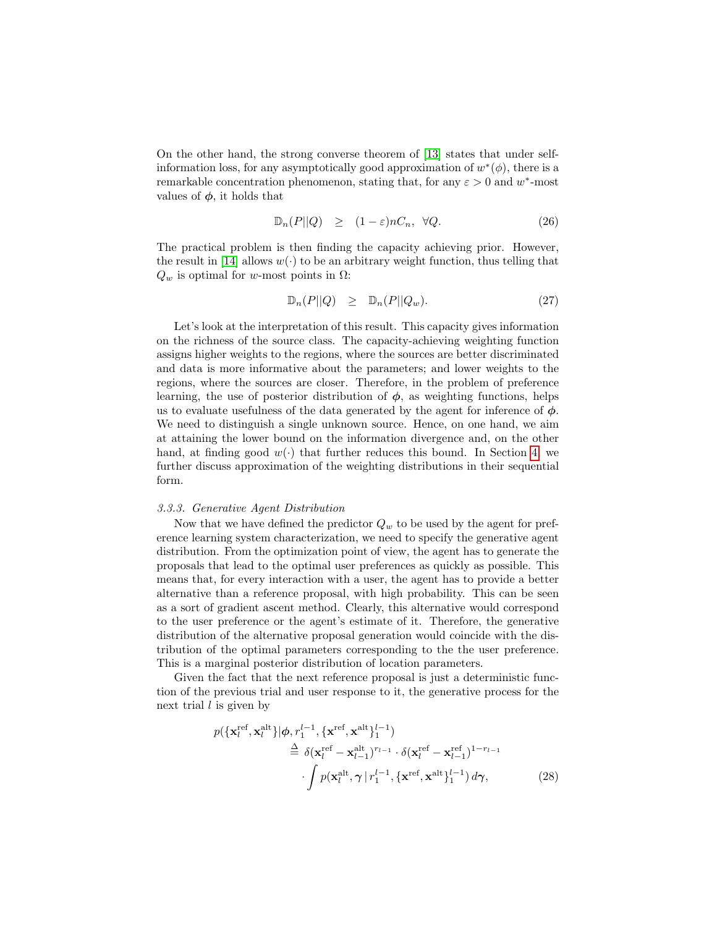On the other hand, the strong converse theorem of [\[13\]](#page-27-8) states that under selfinformation loss, for any asymptotically good approximation of  $w^*(\phi)$ , there is a remarkable concentration phenomenon, stating that, for any  $\varepsilon > 0$  and w<sup>\*</sup>-most values of  $\phi$ , it holds that

$$
\mathbb{D}_n(P||Q) \ge (1 - \varepsilon)nC_n, \ \forall Q. \tag{26}
$$

The practical problem is then finding the capacity achieving prior. However, the result in [\[14\]](#page-27-9) allows  $w(\cdot)$  to be an arbitrary weight function, thus telling that  $Q_w$  is optimal for w-most points in  $\Omega$ :

$$
\mathbb{D}_n(P||Q) \geq \mathbb{D}_n(P||Q_w). \tag{27}
$$

Let's look at the interpretation of this result. This capacity gives information on the richness of the source class. The capacity-achieving weighting function assigns higher weights to the regions, where the sources are better discriminated and data is more informative about the parameters; and lower weights to the regions, where the sources are closer. Therefore, in the problem of preference learning, the use of posterior distribution of  $\phi$ , as weighting functions, helps us to evaluate usefulness of the data generated by the agent for inference of  $\phi$ . We need to distinguish a single unknown source. Hence, on one hand, we aim at attaining the lower bound on the information divergence and, on the other hand, at finding good  $w(\cdot)$  that further reduces this bound. In Section [4,](#page-15-0) we further discuss approximation of the weighting distributions in their sequential form.

#### 3.3.3. Generative Agent Distribution

Now that we have defined the predictor  $Q_w$  to be used by the agent for preference learning system characterization, we need to specify the generative agent distribution. From the optimization point of view, the agent has to generate the proposals that lead to the optimal user preferences as quickly as possible. This means that, for every interaction with a user, the agent has to provide a better alternative than a reference proposal, with high probability. This can be seen as a sort of gradient ascent method. Clearly, this alternative would correspond to the user preference or the agent's estimate of it. Therefore, the generative distribution of the alternative proposal generation would coincide with the distribution of the optimal parameters corresponding to the the user preference. This is a marginal posterior distribution of location parameters.

Given the fact that the next reference proposal is just a deterministic function of the previous trial and user response to it, the generative process for the next trial  $l$  is given by

<span id="page-13-0"></span>
$$
p(\{\mathbf{x}_l^{\text{ref}}, \mathbf{x}_l^{\text{alt}}\}|\boldsymbol{\phi}, r_1^{l-1}, \{\mathbf{x}^{\text{ref}}, \mathbf{x}^{\text{alt}}\}_1^{l-1})
$$
  
\n
$$
\stackrel{\Delta}{=} \delta(\mathbf{x}_l^{\text{ref}} - \mathbf{x}_{l-1}^{\text{alt}})^{r_{l-1}} \cdot \delta(\mathbf{x}_l^{\text{ref}} - \mathbf{x}_{l-1}^{\text{ref}})^{1-r_{l-1}}
$$
  
\n
$$
\cdot \int p(\mathbf{x}_l^{\text{alt}}, \boldsymbol{\gamma} | r_1^{l-1}, \{\mathbf{x}^{\text{ref}}, \mathbf{x}^{\text{alt}}\}_1^{l-1}) d\boldsymbol{\gamma},
$$
 (28)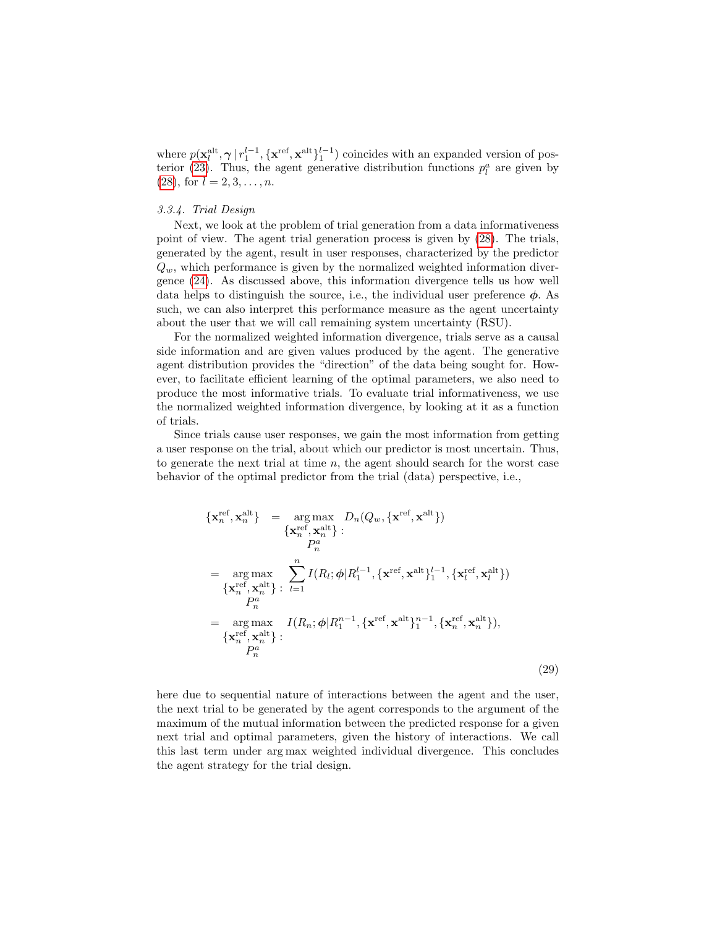where  $p(\mathbf{x}_l^{\text{alt}}, \boldsymbol{\gamma} | r_1^{l-1}, {\{\mathbf{x}^{\text{ref}}, \mathbf{x}^{\text{alt}}\}_1^{l-1})$  coincides with an expanded version of pos-terior [\(23\)](#page-12-0). Thus, the agent generative distribution functions  $p_l^a$  are given by  $(28)$ , for  $l = 2, 3, \ldots, n$ .

#### 3.3.4. Trial Design

Next, we look at the problem of trial generation from a data informativeness point of view. The agent trial generation process is given by [\(28\)](#page-13-0). The trials, generated by the agent, result in user responses, characterized by the predictor  $Q_w$ , which performance is given by the normalized weighted information divergence [\(24\)](#page-12-1). As discussed above, this information divergence tells us how well data helps to distinguish the source, i.e., the individual user preference  $\phi$ . As such, we can also interpret this performance measure as the agent uncertainty about the user that we will call remaining system uncertainty (RSU).

For the normalized weighted information divergence, trials serve as a causal side information and are given values produced by the agent. The generative agent distribution provides the "direction" of the data being sought for. However, to facilitate efficient learning of the optimal parameters, we also need to produce the most informative trials. To evaluate trial informativeness, we use the normalized weighted information divergence, by looking at it as a function of trials.

Since trials cause user responses, we gain the most information from getting a user response on the trial, about which our predictor is most uncertain. Thus, to generate the next trial at time  $n$ , the agent should search for the worst case behavior of the optimal predictor from the trial (data) perspective, i.e.,

<span id="page-14-0"></span>
$$
\begin{aligned}\n\{\mathbf{x}_{n}^{\text{ref}}, \mathbf{x}_{n}^{\text{alt}}\} &= \underset{\{\mathbf{x}_{n}^{\text{ref}}, \mathbf{x}_{n}^{\text{alt}}\}}{\arg \max} \sum_{l} D_{n}(Q_{w}, \{\mathbf{x}^{\text{ref}}, \mathbf{x}^{\text{alt}}\}) \\
&= \underset{\{\mathbf{x}_{n}^{\text{ref}}, \mathbf{x}_{n}^{\text{alt}}\}}{\arg \max} \sum_{l=1}^{n} I(R_{l}; \phi | R_{1}^{l-1}, \{\mathbf{x}^{\text{ref}}, \mathbf{x}^{\text{alt}}\}_{1}^{l-1}, \{\mathbf{x}_{l}^{\text{ref}}, \mathbf{x}_{l}^{\text{alt}}\}) \\
&= \underset{\text{P}_{n}}{\arg \max} \quad I(R_{n}; \phi | R_{1}^{n-1}, \{\mathbf{x}^{\text{ref}}, \mathbf{x}^{\text{alt}}\}_{1}^{n-1}, \{\mathbf{x}_{n}^{\text{ref}}, \mathbf{x}_{n}^{\text{alt}}\}), \\
\{\mathbf{x}_{n}^{\text{ref}}, \mathbf{x}_{n}^{\text{alt}}\} &:\n& P_{n}^{a}\n\end{aligned} \tag{29}
$$

here due to sequential nature of interactions between the agent and the user, the next trial to be generated by the agent corresponds to the argument of the maximum of the mutual information between the predicted response for a given next trial and optimal parameters, given the history of interactions. We call this last term under arg max weighted individual divergence. This concludes the agent strategy for the trial design.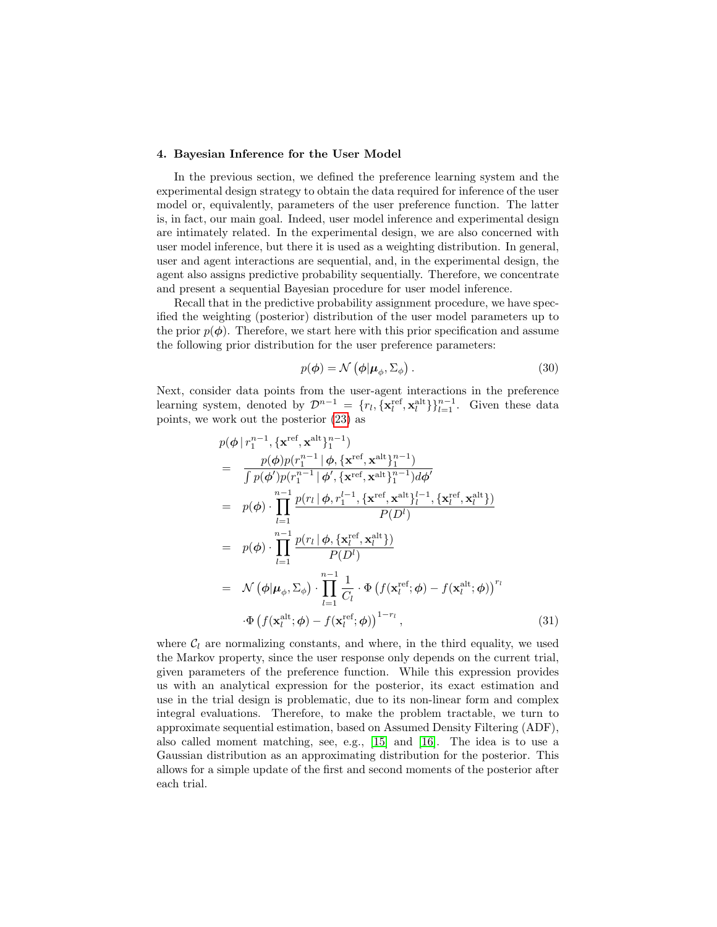#### <span id="page-15-0"></span>4. Bayesian Inference for the User Model

In the previous section, we defined the preference learning system and the experimental design strategy to obtain the data required for inference of the user model or, equivalently, parameters of the user preference function. The latter is, in fact, our main goal. Indeed, user model inference and experimental design are intimately related. In the experimental design, we are also concerned with user model inference, but there it is used as a weighting distribution. In general, user and agent interactions are sequential, and, in the experimental design, the agent also assigns predictive probability sequentially. Therefore, we concentrate and present a sequential Bayesian procedure for user model inference.

Recall that in the predictive probability assignment procedure, we have specified the weighting (posterior) distribution of the user model parameters up to the prior  $p(\phi)$ . Therefore, we start here with this prior specification and assume the following prior distribution for the user preference parameters:

<span id="page-15-1"></span>
$$
p(\boldsymbol{\phi}) = \mathcal{N}\left(\boldsymbol{\phi}|\boldsymbol{\mu}_{\phi}, \boldsymbol{\Sigma}_{\phi}\right). \tag{30}
$$

Next, consider data points from the user-agent interactions in the preference learning system, denoted by  $\mathcal{D}^{n-1} = \{r_l, \{\mathbf{x}_l^{\text{ref}}, \mathbf{x}_l^{\text{alt}}\}\}_{l=1}^{n-1}$ . Given these data points, we work out the posterior [\(23\)](#page-12-0) as

$$
p(\phi | r_1^{n-1}, \{\mathbf{x}^{\text{ref}}, \mathbf{x}^{\text{alt}}\}_1^{n-1})
$$
\n
$$
= \frac{p(\phi)p(r_1^{n-1} | \phi, \{\mathbf{x}^{\text{ref}}, \mathbf{x}^{\text{alt}}\}_1^{n-1})}{\int p(\phi')p(r_1^{n-1} | \phi', \{\mathbf{x}^{\text{ref}}, \mathbf{x}^{\text{alt}}\}_1^{n-1})d\phi'}
$$
\n
$$
= p(\phi) \cdot \prod_{l=1}^{n-1} \frac{p(r_l | \phi, r_1^{l-1}, \{\mathbf{x}^{\text{ref}}, \mathbf{x}^{\text{alt}}\}_l^{l-1}, \{\mathbf{x}^{\text{ref}}, \mathbf{x}^{\text{alt}}_l\})}{P(D^l)}
$$
\n
$$
= p(\phi) \cdot \prod_{l=1}^{n-1} \frac{p(r_l | \phi, \{\mathbf{x}^{\text{ref}}_l, \mathbf{x}^{\text{alt}}_l\})}{P(D^l)}
$$
\n
$$
= \mathcal{N}(\phi | \mu_{\phi}, \Sigma_{\phi}) \cdot \prod_{l=1}^{n-1} \frac{1}{C_l} \cdot \Phi(f(\mathbf{x}^{\text{ref}}_l; \phi) - f(\mathbf{x}^{\text{alt}}_l; \phi))^r
$$
\n
$$
\cdot \Phi(f(\mathbf{x}^{\text{alt}}_l; \phi) - f(\mathbf{x}^{\text{ref}}_l; \phi))^{1-r_l}, \qquad (31)
$$

where  $C_l$  are normalizing constants, and where, in the third equality, we used the Markov property, since the user response only depends on the current trial, given parameters of the preference function. While this expression provides us with an analytical expression for the posterior, its exact estimation and use in the trial design is problematic, due to its non-linear form and complex integral evaluations. Therefore, to make the problem tractable, we turn to approximate sequential estimation, based on Assumed Density Filtering (ADF), also called moment matching, see, e.g., [\[15\]](#page-27-10) and [\[16\]](#page-27-11). The idea is to use a Gaussian distribution as an approximating distribution for the posterior. This allows for a simple update of the first and second moments of the posterior after each trial.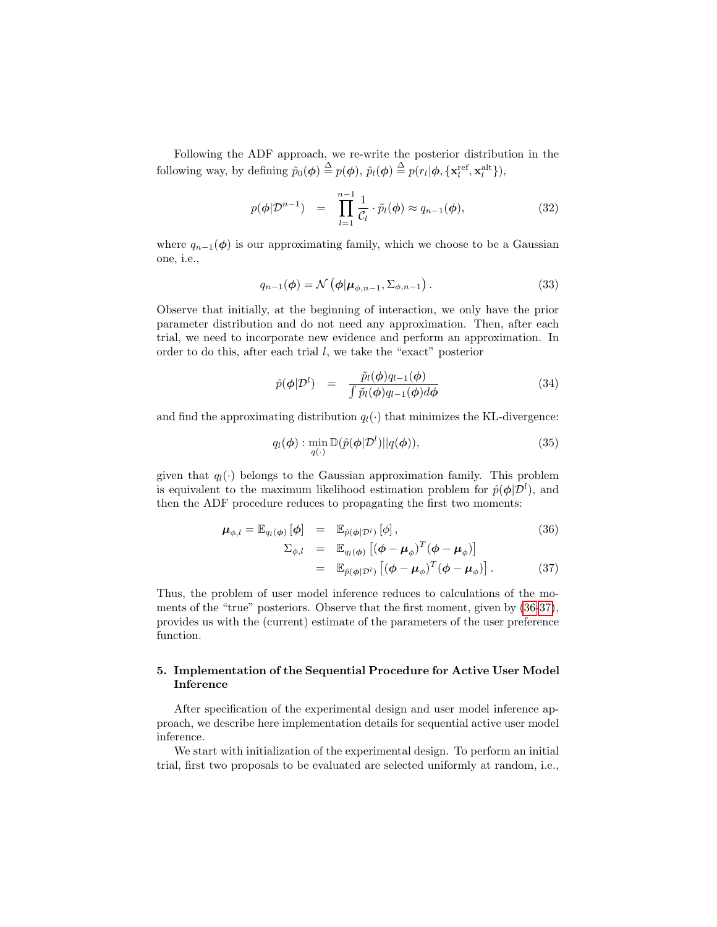Following the ADF approach, we re-write the posterior distribution in the following way, by defining  $\tilde{p}_0(\boldsymbol{\phi}) \stackrel{\Delta}{=} p(\boldsymbol{\phi}), \tilde{p}_l(\boldsymbol{\phi}) \stackrel{\Delta}{=} p(r_l|\boldsymbol{\phi}, {\{\mathbf{x}_l^{\text{ref}}, \mathbf{x}_l^{\text{alt}}\}}),$ 

$$
p(\phi|\mathcal{D}^{n-1}) = \prod_{l=1}^{n-1} \frac{1}{\mathcal{C}_l} \cdot \tilde{p}_l(\phi) \approx q_{n-1}(\phi), \tag{32}
$$

where  $q_{n-1}(\phi)$  is our approximating family, which we choose to be a Gaussian one, i.e.,

$$
q_{n-1}(\boldsymbol{\phi}) = \mathcal{N}\left(\boldsymbol{\phi}|\boldsymbol{\mu}_{\phi,n-1},\boldsymbol{\Sigma}_{\phi,n-1}\right). \tag{33}
$$

Observe that initially, at the beginning of interaction, we only have the prior parameter distribution and do not need any approximation. Then, after each trial, we need to incorporate new evidence and perform an approximation. In order to do this, after each trial l, we take the "exact" posterior

$$
\hat{p}(\phi|\mathcal{D}^l) = \frac{\tilde{p}_l(\phi)q_{l-1}(\phi)}{\int \tilde{p}_l(\phi)q_{l-1}(\phi)d\phi}
$$
\n(34)

and find the approximating distribution  $q_l(\cdot)$  that minimizes the KL-divergence:

$$
q_l(\boldsymbol{\phi}) : \min_{q(\cdot)} \mathbb{D}(\hat{p}(\boldsymbol{\phi}|\mathcal{D}^l)||q(\boldsymbol{\phi})), \tag{35}
$$

given that  $q_l(\cdot)$  belongs to the Gaussian approximation family. This problem is equivalent to the maximum likelihood estimation problem for  $\hat{p}(\phi|\mathcal{D}^l)$ , and then the ADF procedure reduces to propagating the first two moments:

<span id="page-16-0"></span>
$$
\boldsymbol{\mu}_{\phi,l} = \mathbb{E}_{q_l(\phi)} [\phi] = \mathbb{E}_{\hat{p}(\phi|\mathcal{D}^l)} [\phi],
$$
\n
$$
\Sigma_{\phi,l} = \mathbb{E}_{q_l(\phi)} [(\phi - \boldsymbol{\mu}_{\phi})^T (\phi - \boldsymbol{\mu}_{\phi})]
$$
\n
$$
= \mathbb{E}_{\hat{p}(\phi|\mathcal{D}^l)} [(\phi - \boldsymbol{\mu}_{\phi})^T (\phi - \boldsymbol{\mu}_{\phi})].
$$
\n(37)

Thus, the problem of user model inference reduces to calculations of the moments of the "true" posteriors. Observe that the first moment, given by [\(36-37\)](#page-16-0), provides us with the (current) estimate of the parameters of the user preference function.

### 5. Implementation of the Sequential Procedure for Active User Model Inference

After specification of the experimental design and user model inference approach, we describe here implementation details for sequential active user model inference.

We start with initialization of the experimental design. To perform an initial trial, first two proposals to be evaluated are selected uniformly at random, i.e.,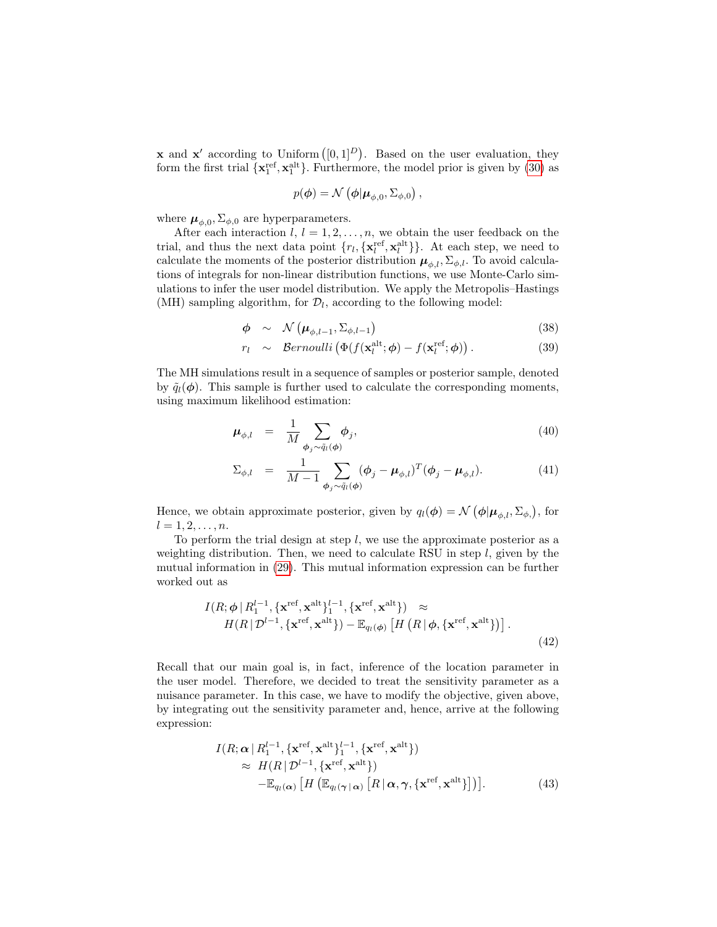**x** and **x'** according to Uniform  $([0, 1]^D)$ . Based on the user evaluation, they form the first trial  $\{x_1^{\text{ref}}, x_1^{\text{alt}}\}$ . Furthermore, the model prior is given by [\(30\)](#page-15-1) as

$$
p(\boldsymbol{\phi}) = \mathcal{N}\left(\boldsymbol{\phi}|\boldsymbol{\mu}_{\phi,0},\Sigma_{\phi,0}\right),
$$

where  $\mu_{\phi,0}, \Sigma_{\phi,0}$  are hyperparameters.

After each interaction  $l, l = 1, 2, ..., n$ , we obtain the user feedback on the trial, and thus the next data point  $\{r_l, {\{\mathbf{x}_l^{\text{ref}}}, {\mathbf{x}_l^{\text{alt}}}\}\}\.$  At each step, we need to calculate the moments of the posterior distribution  $\mu_{\phi, l}$ ,  $\Sigma_{\phi, l}$ . To avoid calculations of integrals for non-linear distribution functions, we use Monte-Carlo simulations to infer the user model distribution. We apply the Metropolis–Hastings (MH) sampling algorithm, for  $\mathcal{D}_l$ , according to the following model:

<span id="page-17-1"></span>
$$
\phi \sim \mathcal{N}\left(\mu_{\phi,l-1}, \Sigma_{\phi,l-1}\right) \tag{38}
$$

$$
r_l \sim \text{Bernoulli} \left( \Phi(f(\mathbf{x}_l^{\text{alt}}; \boldsymbol{\phi}) - f(\mathbf{x}_l^{\text{ref}}; \boldsymbol{\phi}) \right). \tag{39}
$$

The MH simulations result in a sequence of samples or posterior sample, denoted by  $\tilde{q}_l(\phi)$ . This sample is further used to calculate the corresponding moments, using maximum likelihood estimation:

<span id="page-17-2"></span>
$$
\boldsymbol{\mu}_{\phi,l} = \frac{1}{M} \sum_{\boldsymbol{\phi}_j \sim \tilde{q}_l(\boldsymbol{\phi})} \boldsymbol{\phi}_j,\tag{40}
$$

$$
\Sigma_{\phi,l} = \frac{1}{M-1} \sum_{\phi_j \sim \tilde{q}_l(\phi)} (\phi_j - \mu_{\phi,l})^T (\phi_j - \mu_{\phi,l}). \tag{41}
$$

Hence, we obtain approximate posterior, given by  $q_l(\boldsymbol{\phi}) = \mathcal{N}(\boldsymbol{\phi} | \boldsymbol{\mu}_{\phi,l}, \Sigma_{\phi,l})$ , for  $l = 1, 2, \ldots, n$ .

To perform the trial design at step  $l$ , we use the approximate posterior as a weighting distribution. Then, we need to calculate RSU in step  $l$ , given by the mutual information in [\(29\)](#page-14-0). This mutual information expression can be further worked out as

$$
I(R; \phi | R_1^{l-1}, \{\mathbf{x}^{\text{ref}}, \mathbf{x}^{\text{alt}}\}_1^{l-1}, \{\mathbf{x}^{\text{ref}}, \mathbf{x}^{\text{alt}}\}) \approx H(R | \mathcal{D}^{l-1}, \{\mathbf{x}^{\text{ref}}, \mathbf{x}^{\text{alt}}\}) - \mathbb{E}_{q_l(\phi)} [H(R | \phi, \{\mathbf{x}^{\text{ref}}, \mathbf{x}^{\text{alt}}\})].
$$
\n(42)

Recall that our main goal is, in fact, inference of the location parameter in the user model. Therefore, we decided to treat the sensitivity parameter as a nuisance parameter. In this case, we have to modify the objective, given above, by integrating out the sensitivity parameter and, hence, arrive at the following expression:

<span id="page-17-0"></span>
$$
I(R; \alpha | R_1^{l-1}, \{ \mathbf{x}^{\text{ref}}, \mathbf{x}^{\text{alt}} \}_1^{l-1}, \{ \mathbf{x}^{\text{ref}}, \mathbf{x}^{\text{alt}} \})
$$
  
\n
$$
\approx H(R | \mathcal{D}^{l-1}, \{ \mathbf{x}^{\text{ref}}, \mathbf{x}^{\text{alt}} \})
$$
  
\n
$$
-\mathbb{E}_{q_l(\alpha)} [H(\mathbb{E}_{q_l(\gamma | \alpha)} [R | \alpha, \gamma, \{ \mathbf{x}^{\text{ref}}, \mathbf{x}^{\text{alt}} \}])].
$$
\n(43)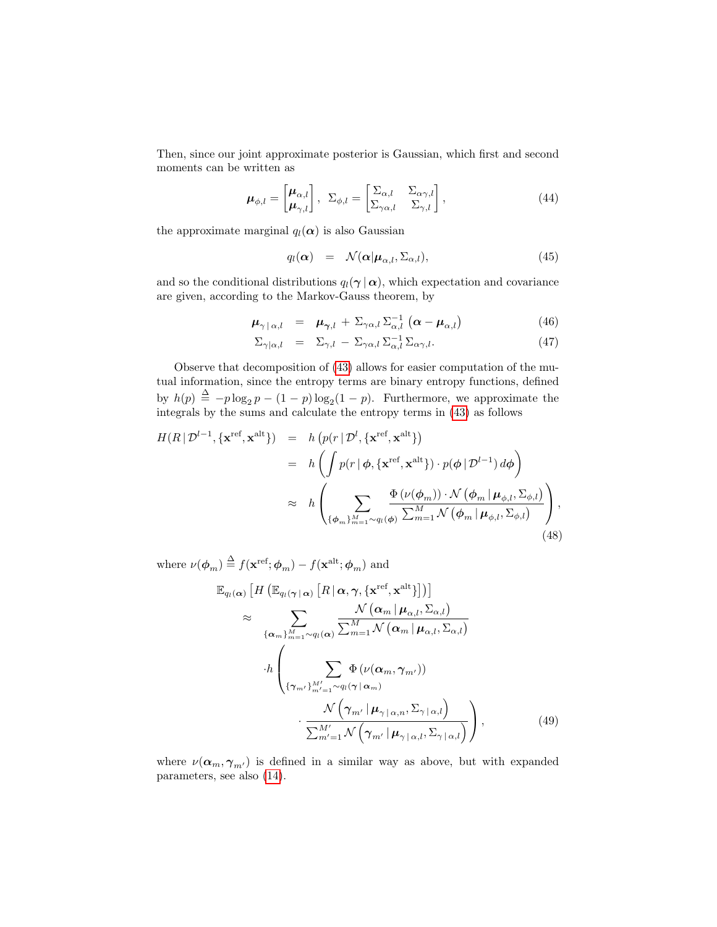Then, since our joint approximate posterior is Gaussian, which first and second moments can be written as

$$
\boldsymbol{\mu}_{\phi,l} = \begin{bmatrix} \boldsymbol{\mu}_{\alpha,l} \\ \boldsymbol{\mu}_{\gamma,l} \end{bmatrix}, \ \Sigma_{\phi,l} = \begin{bmatrix} \Sigma_{\alpha,l} & \Sigma_{\alpha\gamma,l} \\ \Sigma_{\gamma\alpha,l} & \Sigma_{\gamma,l} \end{bmatrix}, \tag{44}
$$

the approximate marginal  $q_l(\alpha)$  is also Gaussian

$$
q_l(\alpha) = \mathcal{N}(\alpha | \mu_{\alpha,l}, \Sigma_{\alpha,l}), \qquad (45)
$$

and so the conditional distributions  $q_l(\gamma | \alpha)$ , which expectation and covariance are given, according to the Markov-Gauss theorem, by

$$
\mu_{\gamma \,|\, \alpha, l} \quad = \quad \mu_{\gamma, l} \,+\, \Sigma_{\gamma \alpha, l} \, \Sigma_{\alpha, l}^{-1} \, \left( \alpha - \mu_{\alpha, l} \right) \tag{46}
$$

$$
\Sigma_{\gamma|\alpha,l} = \Sigma_{\gamma,l} - \Sigma_{\gamma\alpha,l} \Sigma_{\alpha,l}^{-1} \Sigma_{\alpha\gamma,l}.
$$
\n(47)

Observe that decomposition of [\(43\)](#page-17-0) allows for easier computation of the mutual information, since the entropy terms are binary entropy functions, defined by  $h(p) \triangleq -p \log_2 p - (1-p) \log_2 (1-p)$ . Furthermore, we approximate the integrals by the sums and calculate the entropy terms in [\(43\)](#page-17-0) as follows

<span id="page-18-0"></span>
$$
H(R | \mathcal{D}^{l-1}, \{\mathbf{x}^{\text{ref}}, \mathbf{x}^{\text{alt}}\}) = h \left( p(r | \mathcal{D}^{l}, \{\mathbf{x}^{\text{ref}}, \mathbf{x}^{\text{alt}}\}) \right)
$$
  

$$
= h \left( \int p(r | \phi, \{\mathbf{x}^{\text{ref}}, \mathbf{x}^{\text{alt}}\}) \cdot p(\phi | \mathcal{D}^{l-1}) d\phi \right)
$$
  

$$
\approx h \left( \sum_{\{\phi_m\}_{m=1}^M \sim q_l(\phi)} \frac{\Phi(\nu(\phi_m)) \cdot \mathcal{N}(\phi_m | \mu_{\phi,l}, \Sigma_{\phi,l})}{\sum_{m=1}^M \mathcal{N}(\phi_m | \mu_{\phi,l}, \Sigma_{\phi,l})} \right),
$$
(48)

where  $\nu(\boldsymbol{\phi}_m) \stackrel{\Delta}{=} f(\mathbf{x}^{\text{ref}}; \boldsymbol{\phi}_m) - f(\mathbf{x}^{\text{alt}}; \boldsymbol{\phi}_m)$  and

<span id="page-18-1"></span>
$$
\mathbb{E}_{q_l(\alpha)} \left[ H \left( \mathbb{E}_{q_l(\gamma | \alpha)} \left[ R | \alpha, \gamma, \{ \mathbf{x}^{\text{ref}}, \mathbf{x}^{\text{alt}} \} \right] \right) \right] \n\approx \sum_{\{\alpha_m\}_{m=1}^M \sim q_l(\alpha)} \frac{\mathcal{N} \left( \alpha_m | \mu_{\alpha,l}, \Sigma_{\alpha,l} \right)}{\sum_{m=1}^M \mathcal{N} \left( \alpha_m | \mu_{\alpha,l}, \Sigma_{\alpha,l} \right)} \n\cdot h \left( \sum_{\{\gamma_{m'}\}_{m'=1}^{M'} \sim q_l(\gamma | \alpha_m)} \frac{\Phi \left( \nu(\alpha_m, \gamma_{m'}) \right)}{\mathcal{N} \left( \gamma_{m'} | \mu_{\gamma | \alpha, n}, \Sigma_{\gamma | \alpha, l} \right)} \right),
$$
\n
$$
\frac{\mathcal{N} \left( \gamma_{m'} | \mu_{\gamma | \alpha, l}, \Sigma_{\gamma | \alpha, l} \right)}{\sum_{m'=1}^{M'} \mathcal{N} \left( \gamma_{m'} | \mu_{\gamma | \alpha, l}, \Sigma_{\gamma | \alpha, l} \right)} \right), \tag{49}
$$

where  $\nu(\alpha_m, \gamma_{m'})$  is defined in a similar way as above, but with expanded parameters, see also [\(14\)](#page-7-0).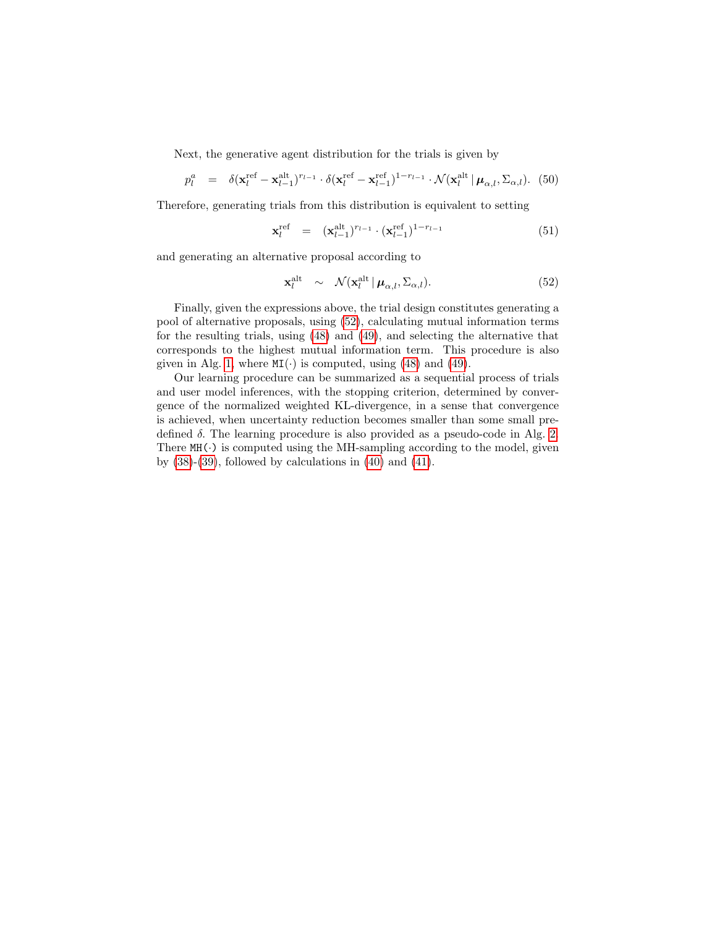Next, the generative agent distribution for the trials is given by

$$
p_l^a = \delta(\mathbf{x}_l^{\text{ref}} - \mathbf{x}_{l-1}^{\text{alt}})^{r_{l-1}} \cdot \delta(\mathbf{x}_l^{\text{ref}} - \mathbf{x}_{l-1}^{\text{ref}})^{1-r_{l-1}} \cdot \mathcal{N}(\mathbf{x}_l^{\text{alt}} \mid \boldsymbol{\mu}_{\alpha,l}, \boldsymbol{\Sigma}_{\alpha,l}). \tag{50}
$$

Therefore, generating trials from this distribution is equivalent to setting

$$
\mathbf{x}_l^{\text{ref}} = (\mathbf{x}_{l-1}^{\text{alt}})^{r_{l-1}} \cdot (\mathbf{x}_{l-1}^{\text{ref}})^{1-r_{l-1}} \tag{51}
$$

and generating an alternative proposal according to

<span id="page-19-0"></span>
$$
\mathbf{x}_l^{\text{alt}} \sim \mathcal{N}(\mathbf{x}_l^{\text{alt}} \, | \, \boldsymbol{\mu}_{\alpha,l}, \boldsymbol{\Sigma}_{\alpha,l}). \tag{52}
$$

Finally, given the expressions above, the trial design constitutes generating a pool of alternative proposals, using [\(52\)](#page-19-0), calculating mutual information terms for the resulting trials, using [\(48\)](#page-18-0) and [\(49\)](#page-18-1), and selecting the alternative that corresponds to the highest mutual information term. This procedure is also given in Alg. [1,](#page-20-0) where  $MI(\cdot)$  is computed, using [\(48\)](#page-18-0) and [\(49\)](#page-18-1).

Our learning procedure can be summarized as a sequential process of trials and user model inferences, with the stopping criterion, determined by convergence of the normalized weighted KL-divergence, in a sense that convergence is achieved, when uncertainty reduction becomes smaller than some small predefined  $\delta$ . The learning procedure is also provided as a pseudo-code in Alg. [2.](#page-21-0) There  $MH(\cdot)$  is computed using the MH-sampling according to the model, given by  $(38)-(39)$  $(38)-(39)$ , followed by calculations in  $(40)$  and  $(41)$ .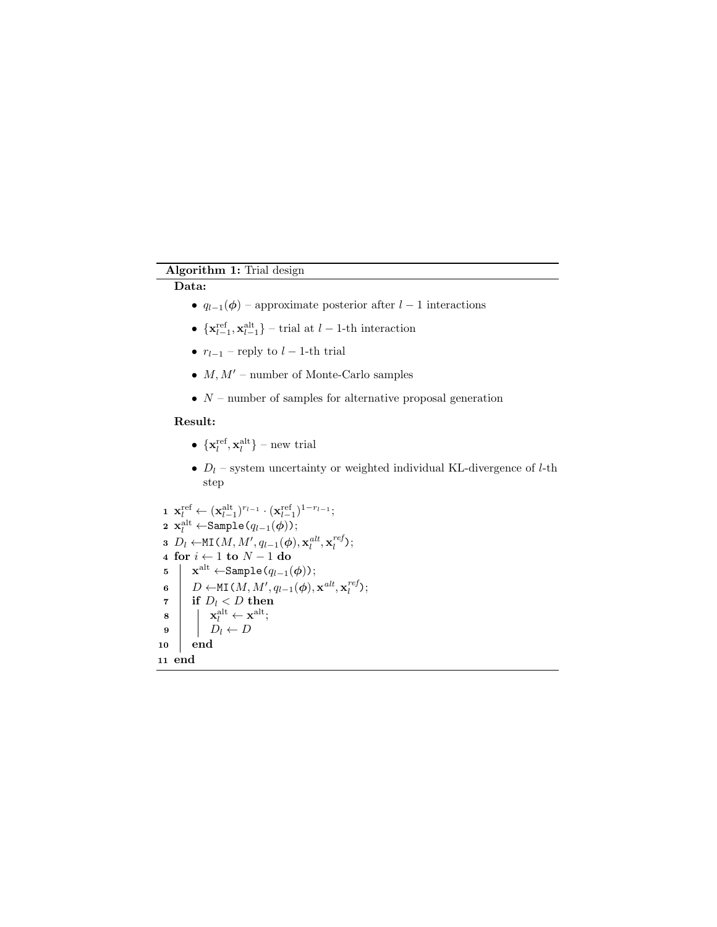## Algorithm 1: Trial design

## <span id="page-20-0"></span>Data:

- $q_{l-1}(\phi)$  approximate posterior after  $l-1$  interactions
- $\{ \mathbf{x}_{l-1}^{\text{ref}}, \mathbf{x}_{l-1}^{\text{alt}} \}$  trial at  $l-1$ -th interaction
- $r_{l-1}$  reply to  $l-1$ -th trial
- $M, M'$  number of Monte-Carlo samples
- $\bullet$   $N$  number of samples for alternative proposal generation

### Result:

- $\{ \mathbf{x}_l^{\text{ref}}, \mathbf{x}_l^{\text{alt}} \}$  new trial
- $D_l$  system uncertainty or weighted individual KL-divergence of  $l$ -th step

1 
$$
x_l^{ref} \leftarrow (x_{l-1}^{alt})^{r_{l-1}} \cdot (x_{l-1}^{ref})^{1-r_{l-1}};
$$
  
\n2 
$$
x_l^{alt} \leftarrow \text{Sample}(q_{l-1}(\phi));
$$
  
\n3 
$$
D_l \leftarrow \text{MI}(M, M', q_{l-1}(\phi), x_l^{alt}, x_l^{ref});
$$
  
\n4 **for**  $i \leftarrow 1$  **to**  $N - 1$  **do**  
\n5 
$$
x^{alt} \leftarrow \text{Sample}(q_{l-1}(\phi));
$$
  
\n6 
$$
D \leftarrow \text{MI}(M, M', q_{l-1}(\phi), x^{alt}, x_l^{ref});
$$
  
\n7 **if** 
$$
D_l \leftarrow D
$$
  
\n8 
$$
x_l^{alt} \leftarrow x^{alt};
$$
  
\n9 
$$
D_l \leftarrow D
$$
  
\n10 **end**  
\n11 **end**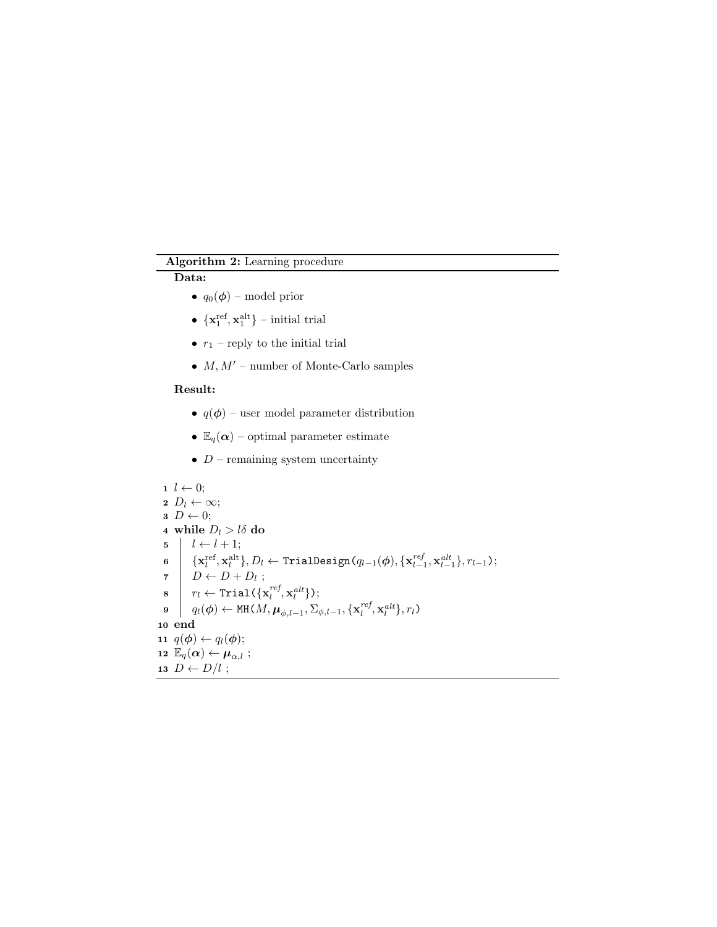# Algorithm 2: Learning procedure

# <span id="page-21-0"></span>Data:

- $q_0(\boldsymbol{\phi})$  model prior
- $\{x_1^{\text{ref}}, x_1^{\text{alt}}\}$  initial trial
- $r_1$  reply to the initial trial
- $M, M'$  number of Monte-Carlo samples

## Result:

- $q(\phi)$  user model parameter distribution
- $\mathbb{E}_q(\boldsymbol{\alpha})$  optimal parameter estimate
- $D$  remaining system uncertainty

1 
$$
l \leftarrow 0
$$
;  
\n2  $D_l \leftarrow \infty$ ;  
\n3  $D \leftarrow 0$ ;  
\n4 while  $D_l > l\delta$  do  
\n5  $l \leftarrow l + 1$ ;  
\n6  $\{x_l^{\text{ref}}, x_l^{\text{alt}}\}, D_l \leftarrow \text{TrialDesign}(q_{l-1}(\phi), \{x_{l-1}^{ref}, x_{l-1}^{alt}\}, r_{l-1})$ ;  
\n7  $D \leftarrow D + D_l$ ;  
\n8  $r_l \leftarrow \text{Trial}\{\{x_l^{ref}, x_l^{alt}\}\}$ ;  
\n9  $q_l(\phi) \leftarrow \text{MH}(M, \mu_{\phi, l-1}, \sum_{\phi, l-1}, \{x_l^{ref}, x_l^{alt}\}, r_l)$   
\n10 end  
\n11  $q(\phi) \leftarrow q_l(\phi)$ ;  
\n12  $\mathbb{E}_q(\alpha) \leftarrow \mu_{\alpha, l}$ ;  
\n13  $D \leftarrow D/l$ ;  
\n14  $\alpha = 0$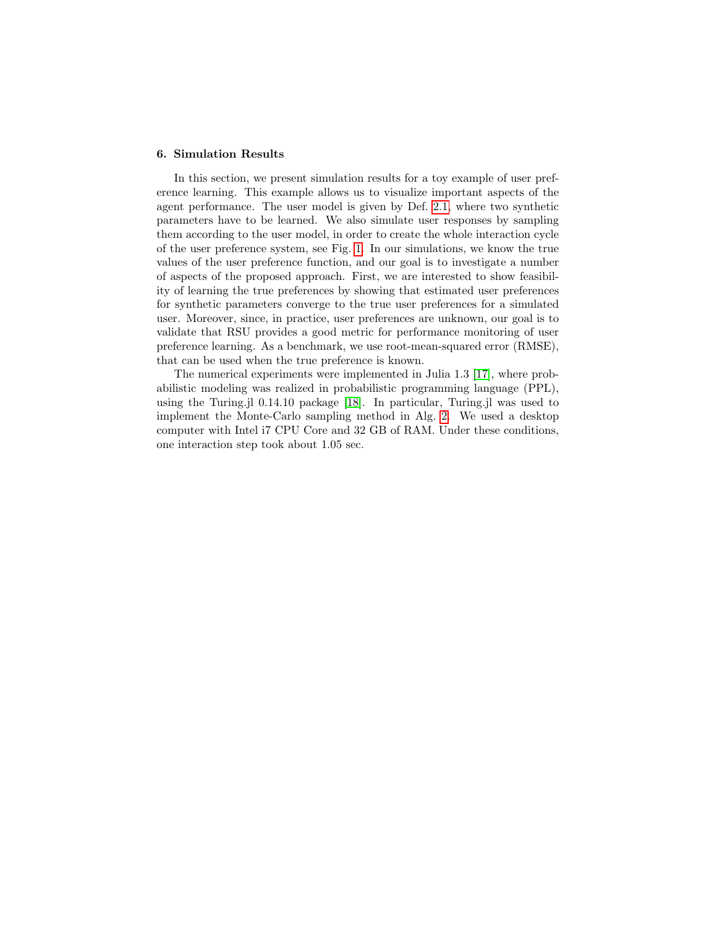#### 6. Simulation Results

In this section, we present simulation results for a toy example of user preference learning. This example allows us to visualize important aspects of the agent performance. The user model is given by Def. [2.1,](#page-6-0) where two synthetic parameters have to be learned. We also simulate user responses by sampling them according to the user model, in order to create the whole interaction cycle of the user preference system, see Fig. [1.](#page-3-0) In our simulations, we know the true values of the user preference function, and our goal is to investigate a number of aspects of the proposed approach. First, we are interested to show feasibility of learning the true preferences by showing that estimated user preferences for synthetic parameters converge to the true user preferences for a simulated user. Moreover, since, in practice, user preferences are unknown, our goal is to validate that RSU provides a good metric for performance monitoring of user preference learning. As a benchmark, we use root-mean-squared error (RMSE), that can be used when the true preference is known.

The numerical experiments were implemented in Julia 1.3 [\[17\]](#page-27-12), where probabilistic modeling was realized in probabilistic programming language (PPL), using the Turing.jl 0.14.10 package [\[18\]](#page-28-0). In particular, Turing.jl was used to implement the Monte-Carlo sampling method in Alg. [2.](#page-21-0) We used a desktop computer with Intel i7 CPU Core and 32 GB of RAM. Under these conditions, one interaction step took about 1.05 sec.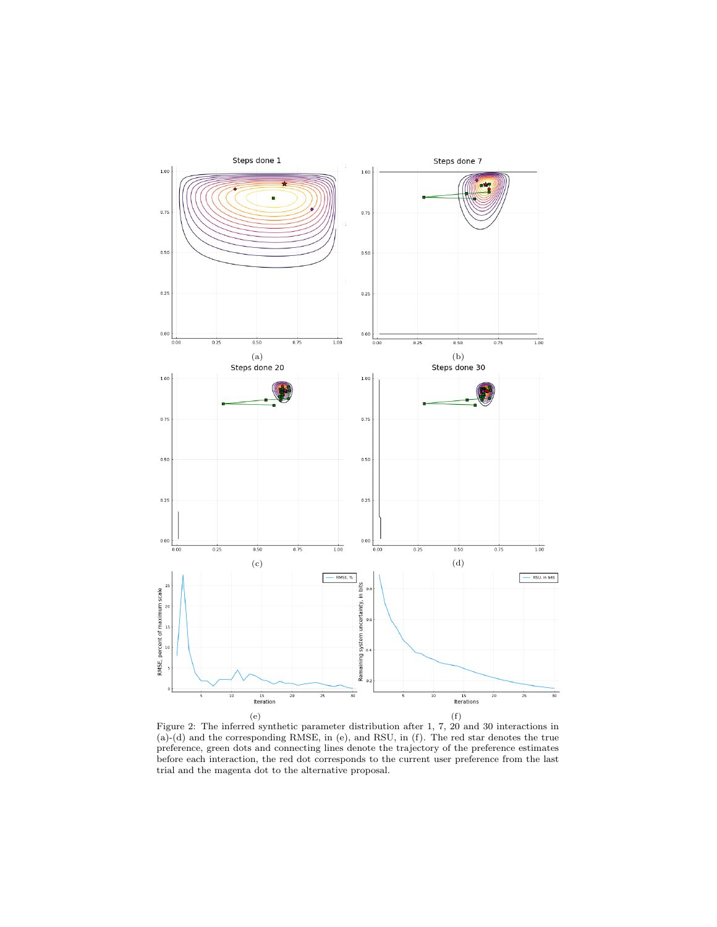<span id="page-23-0"></span>

Figure 2: The inferred synthetic parameter distribution after 1, 7, 20 and 30 interactions in (a)-(d) and the corresponding RMSE, in (e), and RSU, in (f). The red star denotes the true preference, green dots and connecting lines denote the trajectory of the preference estimates before each interaction, the red dot corresponds to the current user preference from the last trial and the magenta dot to the alternative proposal.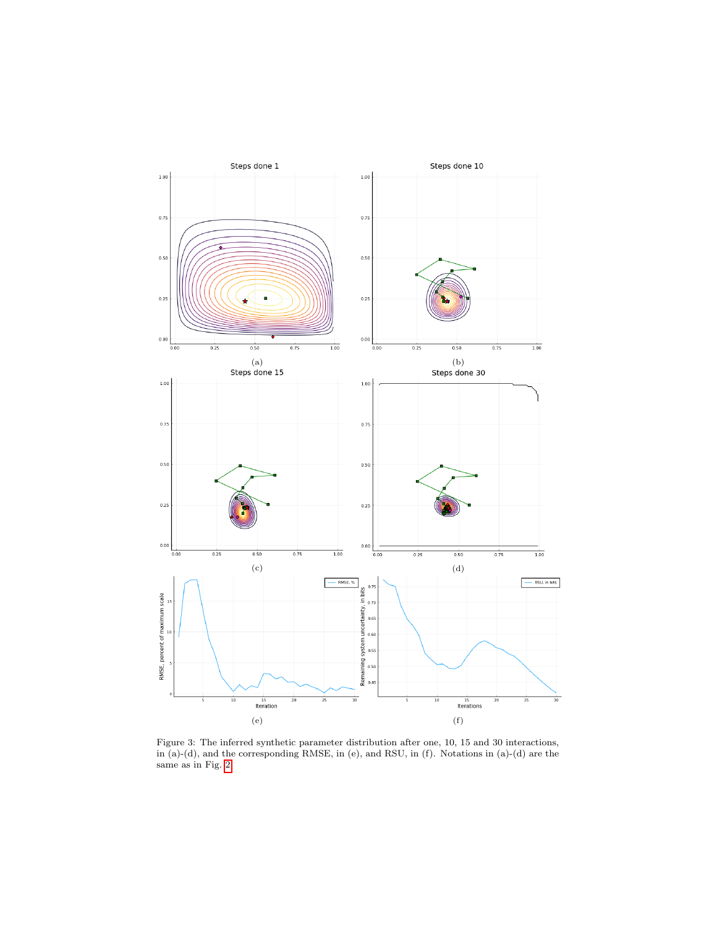<span id="page-24-0"></span>

Figure 3: The inferred synthetic parameter distribution after one, 10, 15 and 30 interactions, in (a)-(d), and the corresponding RMSE, in (e), and RSU, in (f). Notations in (a)-(d) are the same as in Fig. [2](#page-23-0)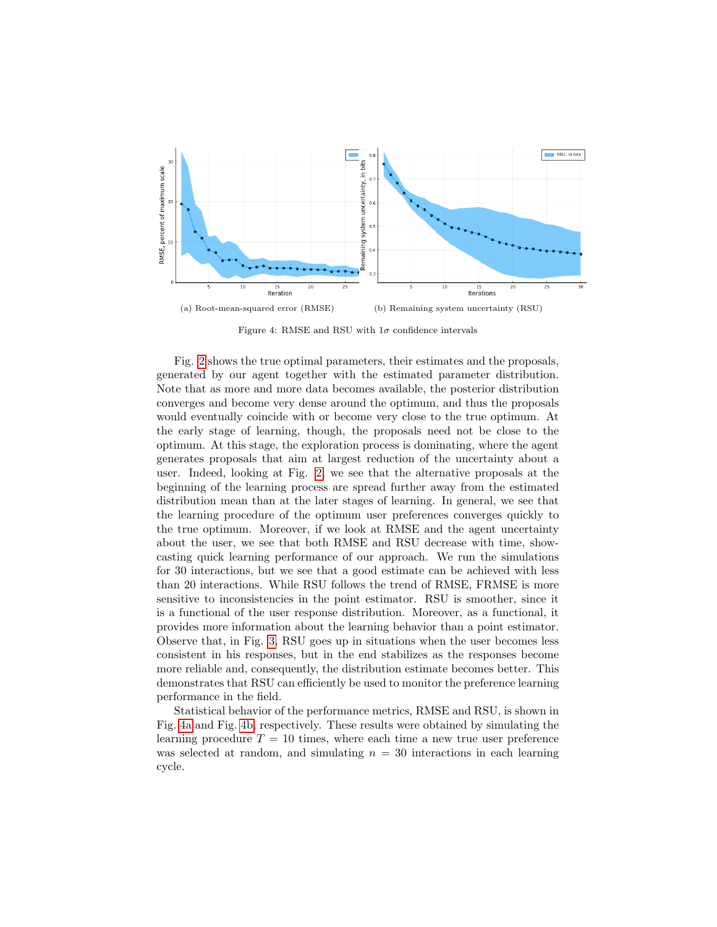<span id="page-25-0"></span>

Figure 4: RMSE and RSU with  $1\sigma$  confidence intervals

Fig. [2](#page-23-0) shows the true optimal parameters, their estimates and the proposals, generated by our agent together with the estimated parameter distribution. Note that as more and more data becomes available, the posterior distribution converges and become very dense around the optimum, and thus the proposals would eventually coincide with or become very close to the true optimum. At the early stage of learning, though, the proposals need not be close to the optimum. At this stage, the exploration process is dominating, where the agent generates proposals that aim at largest reduction of the uncertainty about a user. Indeed, looking at Fig. [2,](#page-23-0) we see that the alternative proposals at the beginning of the learning process are spread further away from the estimated distribution mean than at the later stages of learning. In general, we see that the learning procedure of the optimum user preferences converges quickly to the true optimum. Moreover, if we look at RMSE and the agent uncertainty about the user, we see that both RMSE and RSU decrease with time, showcasting quick learning performance of our approach. We run the simulations for 30 interactions, but we see that a good estimate can be achieved with less than 20 interactions. While RSU follows the trend of RMSE, FRMSE is more sensitive to inconsistencies in the point estimator. RSU is smoother, since it is a functional of the user response distribution. Moreover, as a functional, it provides more information about the learning behavior than a point estimator. Observe that, in Fig. [3,](#page-24-0) RSU goes up in situations when the user becomes less consistent in his responses, but in the end stabilizes as the responses become more reliable and, consequently, the distribution estimate becomes better. This demonstrates that RSU can efficiently be used to monitor the preference learning performance in the field.

Statistical behavior of the performance metrics, RMSE and RSU, is shown in Fig. [4a](#page-25-0) and Fig. [4b,](#page-25-0) respectively. These results were obtained by simulating the learning procedure  $T = 10$  times, where each time a new true user preference was selected at random, and simulating  $n = 30$  interactions in each learning cycle.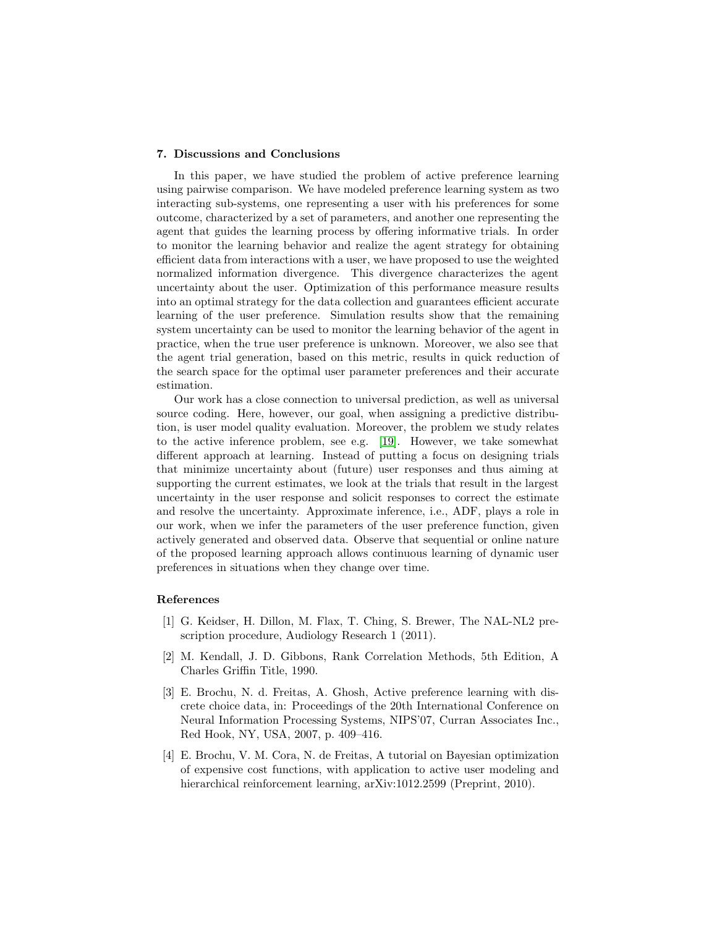#### 7. Discussions and Conclusions

In this paper, we have studied the problem of active preference learning using pairwise comparison. We have modeled preference learning system as two interacting sub-systems, one representing a user with his preferences for some outcome, characterized by a set of parameters, and another one representing the agent that guides the learning process by offering informative trials. In order to monitor the learning behavior and realize the agent strategy for obtaining efficient data from interactions with a user, we have proposed to use the weighted normalized information divergence. This divergence characterizes the agent uncertainty about the user. Optimization of this performance measure results into an optimal strategy for the data collection and guarantees efficient accurate learning of the user preference. Simulation results show that the remaining system uncertainty can be used to monitor the learning behavior of the agent in practice, when the true user preference is unknown. Moreover, we also see that the agent trial generation, based on this metric, results in quick reduction of the search space for the optimal user parameter preferences and their accurate estimation.

Our work has a close connection to universal prediction, as well as universal source coding. Here, however, our goal, when assigning a predictive distribution, is user model quality evaluation. Moreover, the problem we study relates to the active inference problem, see e.g. [\[19\]](#page-28-1). However, we take somewhat different approach at learning. Instead of putting a focus on designing trials that minimize uncertainty about (future) user responses and thus aiming at supporting the current estimates, we look at the trials that result in the largest uncertainty in the user response and solicit responses to correct the estimate and resolve the uncertainty. Approximate inference, i.e., ADF, plays a role in our work, when we infer the parameters of the user preference function, given actively generated and observed data. Observe that sequential or online nature of the proposed learning approach allows continuous learning of dynamic user preferences in situations when they change over time.

#### References

- <span id="page-26-0"></span>[1] G. Keidser, H. Dillon, M. Flax, T. Ching, S. Brewer, The NAL-NL2 prescription procedure, Audiology Research 1 (2011).
- <span id="page-26-1"></span>[2] M. Kendall, J. D. Gibbons, Rank Correlation Methods, 5th Edition, A Charles Griffin Title, 1990.
- <span id="page-26-2"></span>[3] E. Brochu, N. d. Freitas, A. Ghosh, Active preference learning with discrete choice data, in: Proceedings of the 20th International Conference on Neural Information Processing Systems, NIPS'07, Curran Associates Inc., Red Hook, NY, USA, 2007, p. 409–416.
- <span id="page-26-3"></span>[4] E. Brochu, V. M. Cora, N. de Freitas, A tutorial on Bayesian optimization of expensive cost functions, with application to active user modeling and hierarchical reinforcement learning, arXiv:1012.2599 (Preprint, 2010).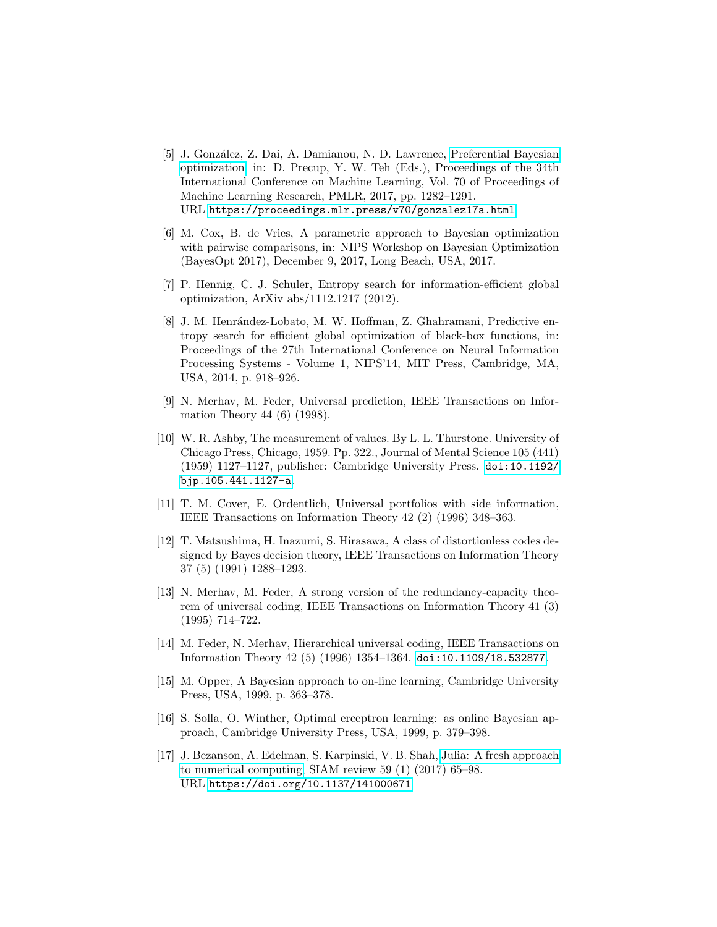- <span id="page-27-0"></span>[5] J. Gonz´alez, Z. Dai, A. Damianou, N. D. Lawrence, [Preferential Bayesian](https://proceedings.mlr.press/v70/gonzalez17a.html) [optimization,](https://proceedings.mlr.press/v70/gonzalez17a.html) in: D. Precup, Y. W. Teh (Eds.), Proceedings of the 34th International Conference on Machine Learning, Vol. 70 of Proceedings of Machine Learning Research, PMLR, 2017, pp. 1282–1291. URL <https://proceedings.mlr.press/v70/gonzalez17a.html>
- <span id="page-27-1"></span>[6] M. Cox, B. de Vries, A parametric approach to Bayesian optimization with pairwise comparisons, in: NIPS Workshop on Bayesian Optimization (BayesOpt 2017), December 9, 2017, Long Beach, USA, 2017.
- <span id="page-27-2"></span>[7] P. Hennig, C. J. Schuler, Entropy search for information-efficient global optimization, ArXiv abs/1112.1217 (2012).
- <span id="page-27-3"></span>[8] J. M. Henrández-Lobato, M. W. Hoffman, Z. Ghahramani, Predictive entropy search for efficient global optimization of black-box functions, in: Proceedings of the 27th International Conference on Neural Information Processing Systems - Volume 1, NIPS'14, MIT Press, Cambridge, MA, USA, 2014, p. 918–926.
- <span id="page-27-4"></span>[9] N. Merhav, M. Feder, Universal prediction, IEEE Transactions on Information Theory 44 (6) (1998).
- <span id="page-27-5"></span>[10] W. R. Ashby, The measurement of values. By L. L. Thurstone. University of Chicago Press, Chicago, 1959. Pp. 322., Journal of Mental Science 105 (441) (1959) 1127–1127, publisher: Cambridge University Press. [doi:10.1192/](https://doi.org/10.1192/bjp.105.441.1127-a) [bjp.105.441.1127-a](https://doi.org/10.1192/bjp.105.441.1127-a).
- <span id="page-27-6"></span>[11] T. M. Cover, E. Ordentlich, Universal portfolios with side information, IEEE Transactions on Information Theory 42 (2) (1996) 348–363.
- <span id="page-27-7"></span>[12] T. Matsushima, H. Inazumi, S. Hirasawa, A class of distortionless codes designed by Bayes decision theory, IEEE Transactions on Information Theory 37 (5) (1991) 1288–1293.
- <span id="page-27-8"></span>[13] N. Merhav, M. Feder, A strong version of the redundancy-capacity theorem of universal coding, IEEE Transactions on Information Theory 41 (3) (1995) 714–722.
- <span id="page-27-9"></span>[14] M. Feder, N. Merhav, Hierarchical universal coding, IEEE Transactions on Information Theory 42 (5) (1996) 1354–1364. [doi:10.1109/18.532877](https://doi.org/10.1109/18.532877).
- <span id="page-27-10"></span>[15] M. Opper, A Bayesian approach to on-line learning, Cambridge University Press, USA, 1999, p. 363–378.
- <span id="page-27-11"></span>[16] S. Solla, O. Winther, Optimal erceptron learning: as online Bayesian approach, Cambridge University Press, USA, 1999, p. 379–398.
- <span id="page-27-12"></span>[17] J. Bezanson, A. Edelman, S. Karpinski, V. B. Shah, [Julia: A fresh approach](https://doi.org/10.1137/141000671) [to numerical computing,](https://doi.org/10.1137/141000671) SIAM review 59 (1) (2017) 65–98. URL <https://doi.org/10.1137/141000671>